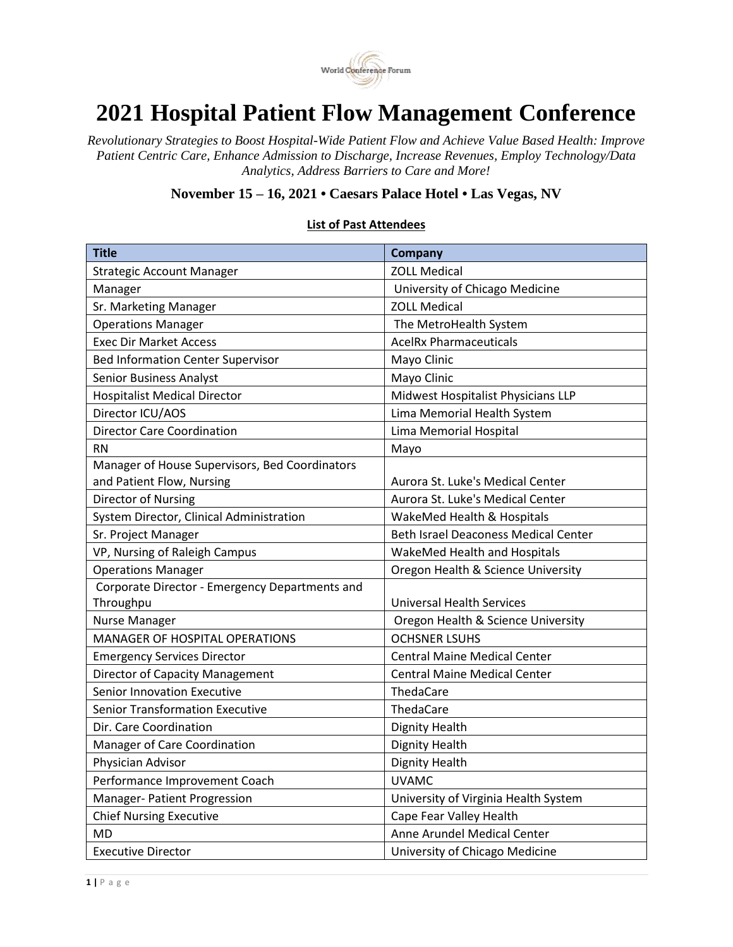

## **2021 Hospital Patient Flow Management Conference**

*Revolutionary Strategies to Boost Hospital-Wide Patient Flow and Achieve Value Based Health: Improve Patient Centric Care, Enhance Admission to Discharge, Increase Revenues, Employ Technology/Data Analytics, Address Barriers to Care and More!*

## **November 15 – 16, 2021 • Caesars Palace Hotel • Las Vegas, NV**

## **Title Company** Strategic Account Manager **In the Strategic Account Manager** 20LL Medical Manager **Manager University of Chicago Medicine** Sr. Marketing Manager **ZOLL Medical** Operations Manager The MetroHealth System Exec Dir Market Access Acel Rx Pharmaceuticals Bed Information Center Supervisor Mayo Clinic Senior Business Analyst Mayo Clinic Hospitalist Medical Director Midwest Hospitalist Physicians LLP Director ICU/AOS **Lima Memorial Health System** Director Care Coordination **Lima Memorial Hospital** RN RN Mayo Manager of House Supervisors, Bed Coordinators and Patient Flow, Nursing The Aurora St. Luke's Medical Center Director of Nursing Aurora St. Luke's Medical Center System Director, Clinical Administration MakeMed Health & Hospitals Sr. Project Manager **Beth Israel Deaconess Medical Center** VP, Nursing of Raleigh Campus WakeMed Health and Hospitals Operations Manager **Oregon Health & Science University** Corporate Director - Emergency Departments and Throughpu Universal Health Services Nurse Manager **Oregon Health & Science University** MANAGER OF HOSPITAL OPERATIONS | OCHSNER LSUHS Emergency Services Director Central Maine Medical Center Director of Capacity Management Central Maine Medical Center Senior Innovation Executive Theory Contracts Innovation Executive Theory Institute Innovation Contracts Institu Senior Transformation Executive Theory ThedaCare Dir. Care Coordination **Dignity Health** Manager of Care Coordination **Dignity Health** Physician Advisor **Dignity Health** Performance Improvement Coach VI UVAMC Manager- Patient Progression **Nancy 2018** University of Virginia Health System Chief Nursing Executive Chief Nursing Executive Cape Cape Fear Valley Health MD Anne Arundel Medical Center Executive Director University of Chicago Medicine

## **List of Past Attendees**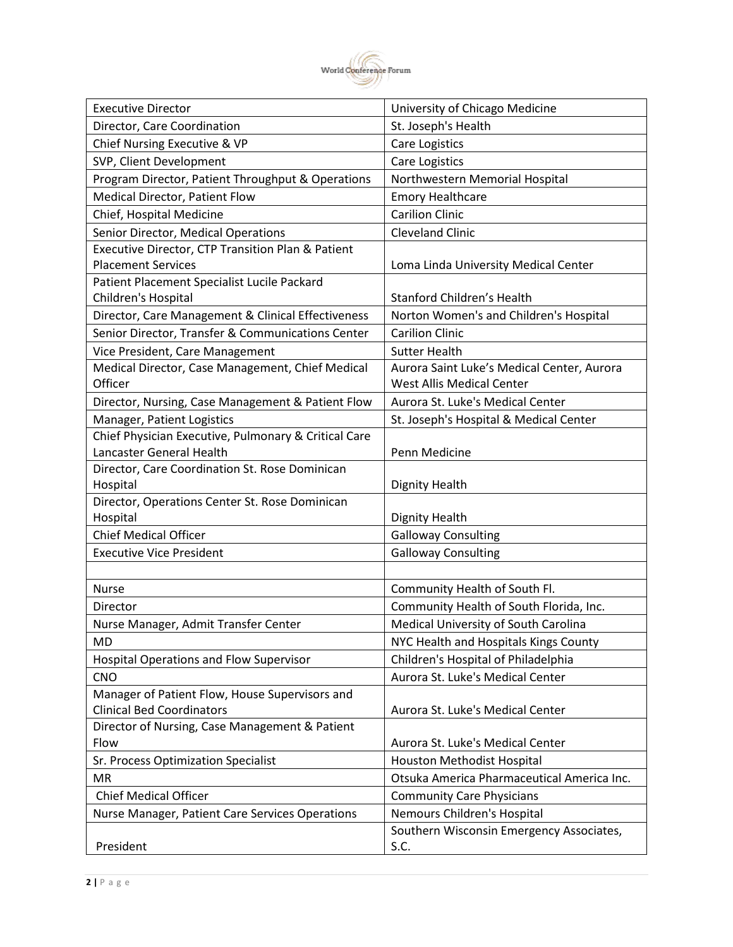

| <b>Executive Director</b>                                                  | University of Chicago Medicine             |
|----------------------------------------------------------------------------|--------------------------------------------|
| Director, Care Coordination                                                | St. Joseph's Health                        |
| Chief Nursing Executive & VP                                               | Care Logistics                             |
| SVP, Client Development                                                    | Care Logistics                             |
| Program Director, Patient Throughput & Operations                          | Northwestern Memorial Hospital             |
| <b>Medical Director, Patient Flow</b>                                      | <b>Emory Healthcare</b>                    |
| Chief, Hospital Medicine                                                   | <b>Carilion Clinic</b>                     |
| Senior Director, Medical Operations                                        | <b>Cleveland Clinic</b>                    |
| Executive Director, CTP Transition Plan & Patient                          |                                            |
| <b>Placement Services</b>                                                  | Loma Linda University Medical Center       |
| Patient Placement Specialist Lucile Packard                                |                                            |
| Children's Hospital                                                        | <b>Stanford Children's Health</b>          |
| Director, Care Management & Clinical Effectiveness                         | Norton Women's and Children's Hospital     |
| Senior Director, Transfer & Communications Center                          | <b>Carilion Clinic</b>                     |
| Vice President, Care Management                                            | <b>Sutter Health</b>                       |
| Medical Director, Case Management, Chief Medical                           | Aurora Saint Luke's Medical Center, Aurora |
| Officer                                                                    | <b>West Allis Medical Center</b>           |
| Director, Nursing, Case Management & Patient Flow                          | Aurora St. Luke's Medical Center           |
| Manager, Patient Logistics                                                 | St. Joseph's Hospital & Medical Center     |
| Chief Physician Executive, Pulmonary & Critical Care                       |                                            |
| Lancaster General Health<br>Director, Care Coordination St. Rose Dominican | Penn Medicine                              |
| Hospital                                                                   | <b>Dignity Health</b>                      |
| Director, Operations Center St. Rose Dominican                             |                                            |
| Hospital                                                                   | <b>Dignity Health</b>                      |
| <b>Chief Medical Officer</b>                                               | <b>Galloway Consulting</b>                 |
| <b>Executive Vice President</b>                                            | <b>Galloway Consulting</b>                 |
|                                                                            |                                            |
| <b>Nurse</b>                                                               | Community Health of South Fl.              |
| Director                                                                   | Community Health of South Florida, Inc.    |
| Nurse Manager, Admit Transfer Center                                       | Medical University of South Carolina       |
| <b>MD</b>                                                                  | NYC Health and Hospitals Kings County      |
| <b>Hospital Operations and Flow Supervisor</b>                             | Children's Hospital of Philadelphia        |
| <b>CNO</b>                                                                 | Aurora St. Luke's Medical Center           |
| Manager of Patient Flow, House Supervisors and                             |                                            |
| <b>Clinical Bed Coordinators</b>                                           | Aurora St. Luke's Medical Center           |
| Director of Nursing, Case Management & Patient                             |                                            |
| Flow                                                                       | Aurora St. Luke's Medical Center           |
| Sr. Process Optimization Specialist                                        | <b>Houston Methodist Hospital</b>          |
| MR                                                                         | Otsuka America Pharmaceutical America Inc. |
| <b>Chief Medical Officer</b>                                               | <b>Community Care Physicians</b>           |
| Nurse Manager, Patient Care Services Operations                            | Nemours Children's Hospital                |
|                                                                            | Southern Wisconsin Emergency Associates,   |
| President                                                                  | S.C.                                       |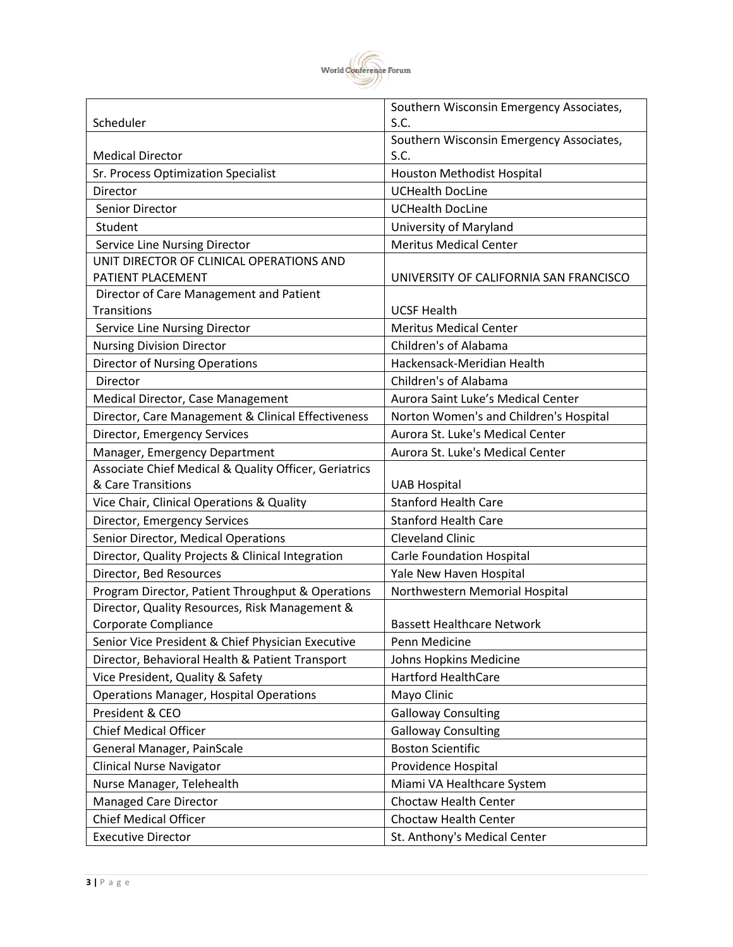

|                                                       | Southern Wisconsin Emergency Associates, |
|-------------------------------------------------------|------------------------------------------|
| Scheduler                                             | S.C.                                     |
|                                                       | Southern Wisconsin Emergency Associates, |
| <b>Medical Director</b>                               | S.C.                                     |
| Sr. Process Optimization Specialist                   | <b>Houston Methodist Hospital</b>        |
| Director                                              | <b>UCHealth DocLine</b>                  |
| Senior Director                                       | <b>UCHealth DocLine</b>                  |
| Student                                               | University of Maryland                   |
| Service Line Nursing Director                         | <b>Meritus Medical Center</b>            |
| UNIT DIRECTOR OF CLINICAL OPERATIONS AND              |                                          |
| PATIENT PLACEMENT                                     | UNIVERSITY OF CALIFORNIA SAN FRANCISCO   |
| Director of Care Management and Patient               |                                          |
| Transitions                                           | <b>UCSF Health</b>                       |
| Service Line Nursing Director                         | <b>Meritus Medical Center</b>            |
| <b>Nursing Division Director</b>                      | Children's of Alabama                    |
| <b>Director of Nursing Operations</b>                 | Hackensack-Meridian Health               |
| Director                                              | Children's of Alabama                    |
| Medical Director, Case Management                     | Aurora Saint Luke's Medical Center       |
| Director, Care Management & Clinical Effectiveness    | Norton Women's and Children's Hospital   |
| Director, Emergency Services                          | Aurora St. Luke's Medical Center         |
| Manager, Emergency Department                         | Aurora St. Luke's Medical Center         |
| Associate Chief Medical & Quality Officer, Geriatrics |                                          |
| & Care Transitions                                    | <b>UAB Hospital</b>                      |
| Vice Chair, Clinical Operations & Quality             | <b>Stanford Health Care</b>              |
| Director, Emergency Services                          | <b>Stanford Health Care</b>              |
| Senior Director, Medical Operations                   | <b>Cleveland Clinic</b>                  |
| Director, Quality Projects & Clinical Integration     | <b>Carle Foundation Hospital</b>         |
| Director, Bed Resources                               | Yale New Haven Hospital                  |
| Program Director, Patient Throughput & Operations     | Northwestern Memorial Hospital           |
| Director, Quality Resources, Risk Management &        |                                          |
| Corporate Compliance                                  | <b>Bassett Healthcare Network</b>        |
| Senior Vice President & Chief Physician Executive     | Penn Medicine                            |
| Director, Behavioral Health & Patient Transport       | Johns Hopkins Medicine                   |
| Vice President, Quality & Safety                      | <b>Hartford HealthCare</b>               |
| <b>Operations Manager, Hospital Operations</b>        | Mayo Clinic                              |
| President & CEO                                       | <b>Galloway Consulting</b>               |
| <b>Chief Medical Officer</b>                          | <b>Galloway Consulting</b>               |
| General Manager, PainScale                            | <b>Boston Scientific</b>                 |
| <b>Clinical Nurse Navigator</b>                       | Providence Hospital                      |
| Nurse Manager, Telehealth                             | Miami VA Healthcare System               |
| <b>Managed Care Director</b>                          | Choctaw Health Center                    |
| <b>Chief Medical Officer</b>                          | Choctaw Health Center                    |
| <b>Executive Director</b>                             | St. Anthony's Medical Center             |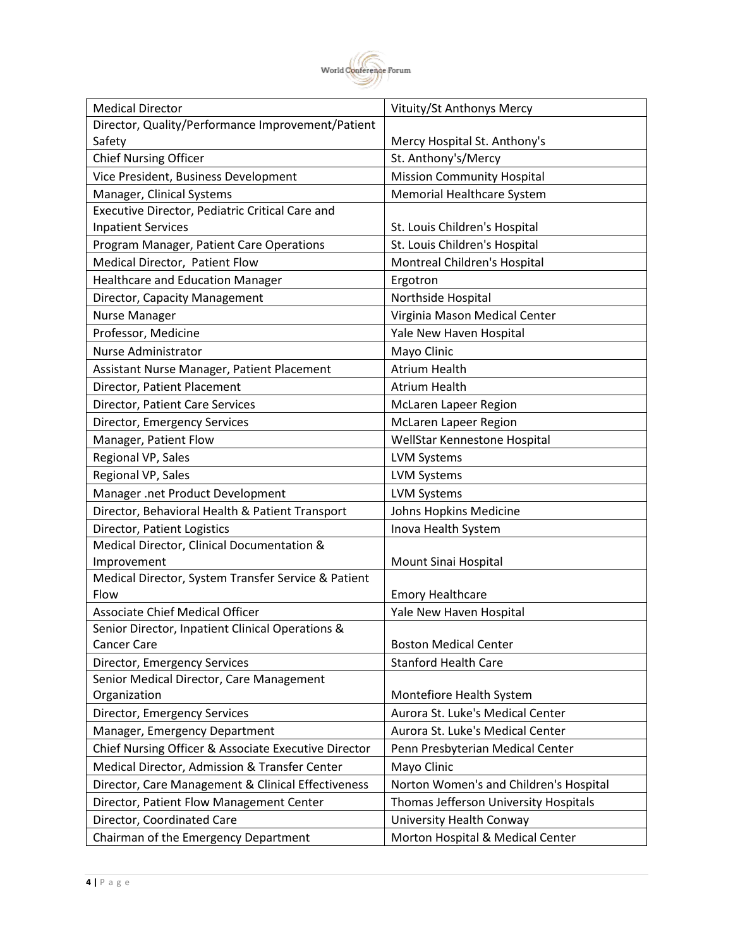

| <b>Medical Director</b>                              | Vituity/St Anthonys Mercy              |
|------------------------------------------------------|----------------------------------------|
| Director, Quality/Performance Improvement/Patient    |                                        |
| Safety                                               | Mercy Hospital St. Anthony's           |
| <b>Chief Nursing Officer</b>                         | St. Anthony's/Mercy                    |
| Vice President, Business Development                 | <b>Mission Community Hospital</b>      |
| Manager, Clinical Systems                            | <b>Memorial Healthcare System</b>      |
| Executive Director, Pediatric Critical Care and      |                                        |
| <b>Inpatient Services</b>                            | St. Louis Children's Hospital          |
| Program Manager, Patient Care Operations             | St. Louis Children's Hospital          |
| Medical Director, Patient Flow                       | Montreal Children's Hospital           |
| <b>Healthcare and Education Manager</b>              | Ergotron                               |
| Director, Capacity Management                        | Northside Hospital                     |
| Nurse Manager                                        | Virginia Mason Medical Center          |
| Professor, Medicine                                  | Yale New Haven Hospital                |
| <b>Nurse Administrator</b>                           | Mayo Clinic                            |
| Assistant Nurse Manager, Patient Placement           | <b>Atrium Health</b>                   |
| Director, Patient Placement                          | <b>Atrium Health</b>                   |
| Director, Patient Care Services                      | <b>McLaren Lapeer Region</b>           |
| Director, Emergency Services                         | <b>McLaren Lapeer Region</b>           |
| Manager, Patient Flow                                | WellStar Kennestone Hospital           |
| Regional VP, Sales                                   | <b>LVM Systems</b>                     |
| Regional VP, Sales                                   | <b>LVM Systems</b>                     |
| Manager .net Product Development                     | <b>LVM Systems</b>                     |
| Director, Behavioral Health & Patient Transport      | Johns Hopkins Medicine                 |
| Director, Patient Logistics                          | Inova Health System                    |
| Medical Director, Clinical Documentation &           |                                        |
| Improvement                                          | Mount Sinai Hospital                   |
| Medical Director, System Transfer Service & Patient  |                                        |
| Flow                                                 | <b>Emory Healthcare</b>                |
| <b>Associate Chief Medical Officer</b>               | Yale New Haven Hospital                |
| Senior Director, Inpatient Clinical Operations &     |                                        |
| <b>Cancer Care</b>                                   | <b>Boston Medical Center</b>           |
| Director, Emergency Services                         | <b>Stanford Health Care</b>            |
| Senior Medical Director, Care Management             |                                        |
| Organization                                         | Montefiore Health System               |
| Director, Emergency Services                         | Aurora St. Luke's Medical Center       |
| Manager, Emergency Department                        | Aurora St. Luke's Medical Center       |
| Chief Nursing Officer & Associate Executive Director | Penn Presbyterian Medical Center       |
| Medical Director, Admission & Transfer Center        | Mayo Clinic                            |
| Director, Care Management & Clinical Effectiveness   | Norton Women's and Children's Hospital |
| Director, Patient Flow Management Center             | Thomas Jefferson University Hospitals  |
| Director, Coordinated Care                           | University Health Conway               |
| Chairman of the Emergency Department                 | Morton Hospital & Medical Center       |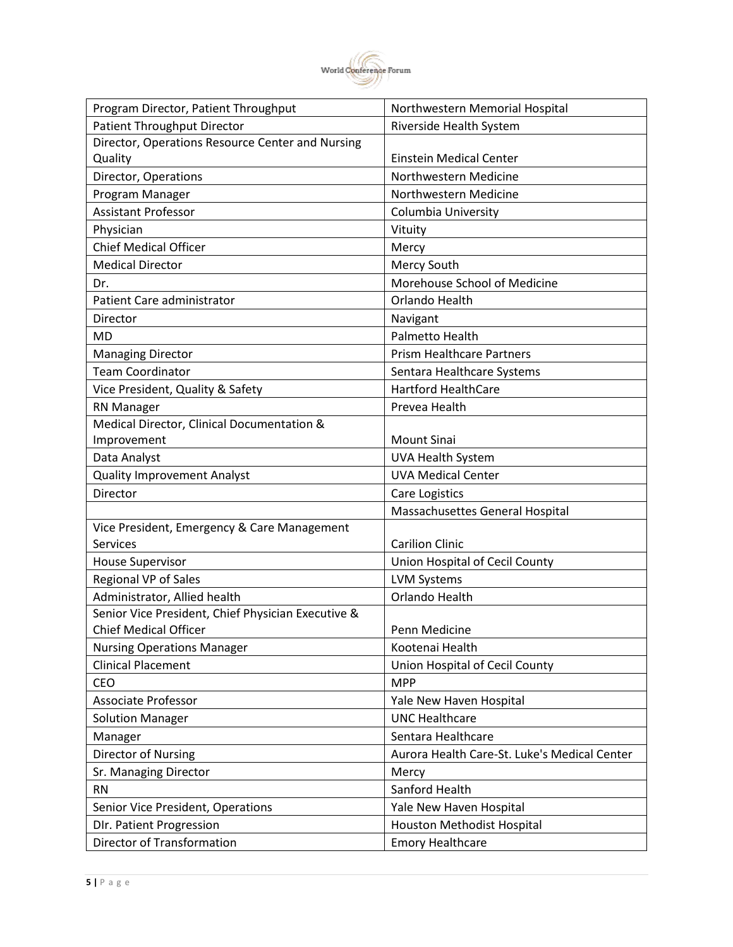

| Program Director, Patient Throughput               | Northwestern Memorial Hospital               |
|----------------------------------------------------|----------------------------------------------|
| Patient Throughput Director                        | Riverside Health System                      |
| Director, Operations Resource Center and Nursing   |                                              |
| Quality                                            | <b>Einstein Medical Center</b>               |
| Director, Operations                               | Northwestern Medicine                        |
| Program Manager                                    | Northwestern Medicine                        |
| <b>Assistant Professor</b>                         | <b>Columbia University</b>                   |
| Physician                                          | Vituity                                      |
| <b>Chief Medical Officer</b>                       | Mercy                                        |
| <b>Medical Director</b>                            | Mercy South                                  |
| Dr.                                                | Morehouse School of Medicine                 |
| Patient Care administrator                         | Orlando Health                               |
| Director                                           | Navigant                                     |
| MD                                                 | Palmetto Health                              |
| <b>Managing Director</b>                           | <b>Prism Healthcare Partners</b>             |
| <b>Team Coordinator</b>                            | Sentara Healthcare Systems                   |
| Vice President, Quality & Safety                   | <b>Hartford HealthCare</b>                   |
| <b>RN Manager</b>                                  | Prevea Health                                |
| Medical Director, Clinical Documentation &         |                                              |
| Improvement                                        | <b>Mount Sinai</b>                           |
| Data Analyst                                       | <b>UVA Health System</b>                     |
| <b>Quality Improvement Analyst</b>                 | <b>UVA Medical Center</b>                    |
| Director                                           | Care Logistics                               |
|                                                    | Massachusettes General Hospital              |
| Vice President, Emergency & Care Management        |                                              |
| <b>Services</b>                                    | <b>Carilion Clinic</b>                       |
| <b>House Supervisor</b>                            | Union Hospital of Cecil County               |
| Regional VP of Sales                               | <b>LVM Systems</b>                           |
| Administrator, Allied health                       | Orlando Health                               |
| Senior Vice President, Chief Physician Executive & |                                              |
| <b>Chief Medical Officer</b>                       | Penn Medicine                                |
| <b>Nursing Operations Manager</b>                  | Kootenai Health                              |
| <b>Clinical Placement</b>                          | Union Hospital of Cecil County               |
| <b>CEO</b>                                         | <b>MPP</b>                                   |
| <b>Associate Professor</b>                         | Yale New Haven Hospital                      |
| <b>Solution Manager</b>                            | <b>UNC Healthcare</b>                        |
| Manager                                            | Sentara Healthcare                           |
| Director of Nursing                                | Aurora Health Care-St. Luke's Medical Center |
| Sr. Managing Director                              | Mercy                                        |
| <b>RN</b>                                          | Sanford Health                               |
| Senior Vice President, Operations                  | Yale New Haven Hospital                      |
| DIr. Patient Progression                           | Houston Methodist Hospital                   |
| Director of Transformation                         | <b>Emory Healthcare</b>                      |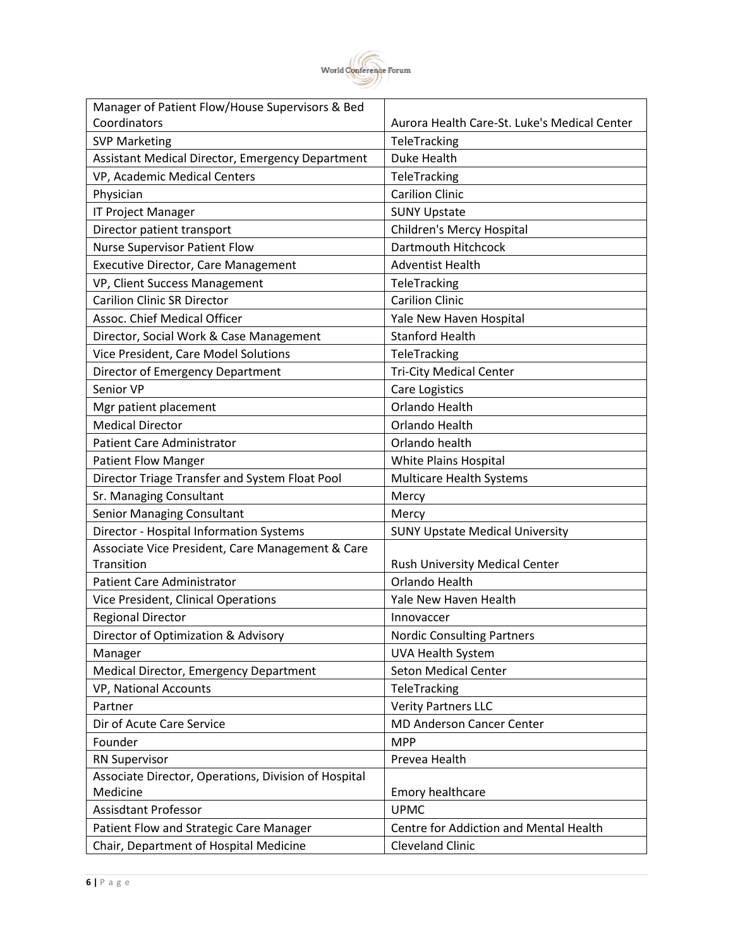

| Manager of Patient Flow/House Supervisors & Bed      |                                              |
|------------------------------------------------------|----------------------------------------------|
| Coordinators                                         | Aurora Health Care-St. Luke's Medical Center |
| <b>SVP Marketing</b>                                 | TeleTracking                                 |
| Assistant Medical Director, Emergency Department     | Duke Health                                  |
| VP, Academic Medical Centers                         | TeleTracking                                 |
| Physician                                            | <b>Carilion Clinic</b>                       |
| IT Project Manager                                   | <b>SUNY Upstate</b>                          |
| Director patient transport                           | Children's Mercy Hospital                    |
| <b>Nurse Supervisor Patient Flow</b>                 | Dartmouth Hitchcock                          |
| <b>Executive Director, Care Management</b>           | <b>Adventist Health</b>                      |
| VP, Client Success Management                        | TeleTracking                                 |
| <b>Carilion Clinic SR Director</b>                   | <b>Carilion Clinic</b>                       |
| Assoc. Chief Medical Officer                         | Yale New Haven Hospital                      |
| Director, Social Work & Case Management              | <b>Stanford Health</b>                       |
| Vice President, Care Model Solutions                 | TeleTracking                                 |
| Director of Emergency Department                     | <b>Tri-City Medical Center</b>               |
| Senior VP                                            | Care Logistics                               |
| Mgr patient placement                                | Orlando Health                               |
| <b>Medical Director</b>                              | Orlando Health                               |
| <b>Patient Care Administrator</b>                    | Orlando health                               |
| <b>Patient Flow Manger</b>                           | White Plains Hospital                        |
| Director Triage Transfer and System Float Pool       | <b>Multicare Health Systems</b>              |
| Sr. Managing Consultant                              | Mercy                                        |
| <b>Senior Managing Consultant</b>                    | Mercy                                        |
| Director - Hospital Information Systems              | <b>SUNY Upstate Medical University</b>       |
| Associate Vice President, Care Management & Care     |                                              |
| Transition                                           | <b>Rush University Medical Center</b>        |
| <b>Patient Care Administrator</b>                    | <b>Orlando Health</b>                        |
| Vice President, Clinical Operations                  | Yale New Haven Health                        |
| <b>Regional Director</b>                             | Innovaccer                                   |
| Director of Optimization & Advisory                  | <b>Nordic Consulting Partners</b>            |
| Manager                                              | <b>UVA Health System</b>                     |
| Medical Director, Emergency Department               | <b>Seton Medical Center</b>                  |
| VP, National Accounts                                | TeleTracking                                 |
| Partner                                              | <b>Verity Partners LLC</b>                   |
| Dir of Acute Care Service                            | <b>MD Anderson Cancer Center</b>             |
| Founder                                              | <b>MPP</b>                                   |
| <b>RN Supervisor</b>                                 | Prevea Health                                |
| Associate Director, Operations, Division of Hospital |                                              |
| Medicine                                             | Emory healthcare                             |
| <b>Assisdtant Professor</b>                          | <b>UPMC</b>                                  |
| Patient Flow and Strategic Care Manager              | Centre for Addiction and Mental Health       |
| Chair, Department of Hospital Medicine               | <b>Cleveland Clinic</b>                      |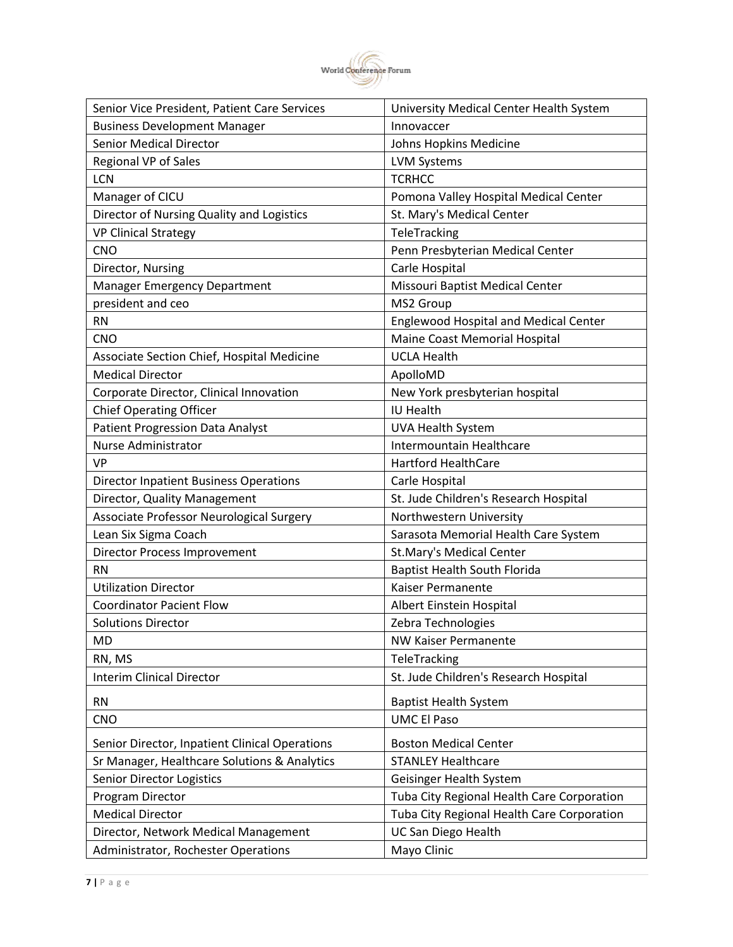

| <b>Business Development Manager</b><br>Innovaccer<br><b>Senior Medical Director</b><br>Johns Hopkins Medicine<br>Regional VP of Sales<br><b>LVM Systems</b><br><b>TCRHCC</b><br><b>LCN</b><br>Pomona Valley Hospital Medical Center<br>Manager of CICU<br>Director of Nursing Quality and Logistics<br>St. Mary's Medical Center<br><b>VP Clinical Strategy</b><br>TeleTracking<br><b>CNO</b><br>Penn Presbyterian Medical Center<br>Carle Hospital<br>Director, Nursing<br>Missouri Baptist Medical Center<br>Manager Emergency Department<br>president and ceo<br>MS2 Group<br><b>Englewood Hospital and Medical Center</b><br><b>RN</b><br>Maine Coast Memorial Hospital<br><b>CNO</b><br><b>UCLA Health</b><br>Associate Section Chief, Hospital Medicine<br><b>Medical Director</b><br>ApolloMD<br>Corporate Director, Clinical Innovation<br>New York presbyterian hospital<br><b>Chief Operating Officer</b><br><b>IU Health</b><br><b>Patient Progression Data Analyst</b><br><b>UVA Health System</b><br><b>Nurse Administrator</b><br>Intermountain Healthcare<br><b>VP</b><br><b>Hartford HealthCare</b><br><b>Director Inpatient Business Operations</b><br>Carle Hospital<br>St. Jude Children's Research Hospital<br>Director, Quality Management<br>Associate Professor Neurological Surgery<br>Northwestern University<br>Lean Six Sigma Coach<br>Sarasota Memorial Health Care System<br>Director Process Improvement<br><b>St.Mary's Medical Center</b><br><b>Baptist Health South Florida</b><br><b>RN</b><br><b>Utilization Director</b><br>Kaiser Permanente<br><b>Coordinator Pacient Flow</b><br>Albert Einstein Hospital<br><b>Solutions Director</b><br>Zebra Technologies<br>MD<br><b>NW Kaiser Permanente</b><br>RN, MS<br>TeleTracking<br><b>Interim Clinical Director</b><br>St. Jude Children's Research Hospital<br><b>RN</b><br><b>Baptist Health System</b><br><b>UMC El Paso</b><br><b>CNO</b><br>Senior Director, Inpatient Clinical Operations<br><b>Boston Medical Center</b><br>Sr Manager, Healthcare Solutions & Analytics<br><b>STANLEY Healthcare</b><br><b>Senior Director Logistics</b><br>Geisinger Health System<br>Program Director<br>Tuba City Regional Health Care Corporation<br><b>Medical Director</b><br>Tuba City Regional Health Care Corporation<br>UC San Diego Health<br>Director, Network Medical Management | Senior Vice President, Patient Care Services | University Medical Center Health System |
|--------------------------------------------------------------------------------------------------------------------------------------------------------------------------------------------------------------------------------------------------------------------------------------------------------------------------------------------------------------------------------------------------------------------------------------------------------------------------------------------------------------------------------------------------------------------------------------------------------------------------------------------------------------------------------------------------------------------------------------------------------------------------------------------------------------------------------------------------------------------------------------------------------------------------------------------------------------------------------------------------------------------------------------------------------------------------------------------------------------------------------------------------------------------------------------------------------------------------------------------------------------------------------------------------------------------------------------------------------------------------------------------------------------------------------------------------------------------------------------------------------------------------------------------------------------------------------------------------------------------------------------------------------------------------------------------------------------------------------------------------------------------------------------------------------------------------------------------------------------------------------------------------------------------------------------------------------------------------------------------------------------------------------------------------------------------------------------------------------------------------------------------------------------------------------------------------------------------------------------------------------------------------------------------------------------------------------------------------------------------------|----------------------------------------------|-----------------------------------------|
|                                                                                                                                                                                                                                                                                                                                                                                                                                                                                                                                                                                                                                                                                                                                                                                                                                                                                                                                                                                                                                                                                                                                                                                                                                                                                                                                                                                                                                                                                                                                                                                                                                                                                                                                                                                                                                                                                                                                                                                                                                                                                                                                                                                                                                                                                                                                                                          |                                              |                                         |
|                                                                                                                                                                                                                                                                                                                                                                                                                                                                                                                                                                                                                                                                                                                                                                                                                                                                                                                                                                                                                                                                                                                                                                                                                                                                                                                                                                                                                                                                                                                                                                                                                                                                                                                                                                                                                                                                                                                                                                                                                                                                                                                                                                                                                                                                                                                                                                          |                                              |                                         |
|                                                                                                                                                                                                                                                                                                                                                                                                                                                                                                                                                                                                                                                                                                                                                                                                                                                                                                                                                                                                                                                                                                                                                                                                                                                                                                                                                                                                                                                                                                                                                                                                                                                                                                                                                                                                                                                                                                                                                                                                                                                                                                                                                                                                                                                                                                                                                                          |                                              |                                         |
|                                                                                                                                                                                                                                                                                                                                                                                                                                                                                                                                                                                                                                                                                                                                                                                                                                                                                                                                                                                                                                                                                                                                                                                                                                                                                                                                                                                                                                                                                                                                                                                                                                                                                                                                                                                                                                                                                                                                                                                                                                                                                                                                                                                                                                                                                                                                                                          |                                              |                                         |
|                                                                                                                                                                                                                                                                                                                                                                                                                                                                                                                                                                                                                                                                                                                                                                                                                                                                                                                                                                                                                                                                                                                                                                                                                                                                                                                                                                                                                                                                                                                                                                                                                                                                                                                                                                                                                                                                                                                                                                                                                                                                                                                                                                                                                                                                                                                                                                          |                                              |                                         |
|                                                                                                                                                                                                                                                                                                                                                                                                                                                                                                                                                                                                                                                                                                                                                                                                                                                                                                                                                                                                                                                                                                                                                                                                                                                                                                                                                                                                                                                                                                                                                                                                                                                                                                                                                                                                                                                                                                                                                                                                                                                                                                                                                                                                                                                                                                                                                                          |                                              |                                         |
|                                                                                                                                                                                                                                                                                                                                                                                                                                                                                                                                                                                                                                                                                                                                                                                                                                                                                                                                                                                                                                                                                                                                                                                                                                                                                                                                                                                                                                                                                                                                                                                                                                                                                                                                                                                                                                                                                                                                                                                                                                                                                                                                                                                                                                                                                                                                                                          |                                              |                                         |
|                                                                                                                                                                                                                                                                                                                                                                                                                                                                                                                                                                                                                                                                                                                                                                                                                                                                                                                                                                                                                                                                                                                                                                                                                                                                                                                                                                                                                                                                                                                                                                                                                                                                                                                                                                                                                                                                                                                                                                                                                                                                                                                                                                                                                                                                                                                                                                          |                                              |                                         |
|                                                                                                                                                                                                                                                                                                                                                                                                                                                                                                                                                                                                                                                                                                                                                                                                                                                                                                                                                                                                                                                                                                                                                                                                                                                                                                                                                                                                                                                                                                                                                                                                                                                                                                                                                                                                                                                                                                                                                                                                                                                                                                                                                                                                                                                                                                                                                                          |                                              |                                         |
|                                                                                                                                                                                                                                                                                                                                                                                                                                                                                                                                                                                                                                                                                                                                                                                                                                                                                                                                                                                                                                                                                                                                                                                                                                                                                                                                                                                                                                                                                                                                                                                                                                                                                                                                                                                                                                                                                                                                                                                                                                                                                                                                                                                                                                                                                                                                                                          |                                              |                                         |
|                                                                                                                                                                                                                                                                                                                                                                                                                                                                                                                                                                                                                                                                                                                                                                                                                                                                                                                                                                                                                                                                                                                                                                                                                                                                                                                                                                                                                                                                                                                                                                                                                                                                                                                                                                                                                                                                                                                                                                                                                                                                                                                                                                                                                                                                                                                                                                          |                                              |                                         |
|                                                                                                                                                                                                                                                                                                                                                                                                                                                                                                                                                                                                                                                                                                                                                                                                                                                                                                                                                                                                                                                                                                                                                                                                                                                                                                                                                                                                                                                                                                                                                                                                                                                                                                                                                                                                                                                                                                                                                                                                                                                                                                                                                                                                                                                                                                                                                                          |                                              |                                         |
|                                                                                                                                                                                                                                                                                                                                                                                                                                                                                                                                                                                                                                                                                                                                                                                                                                                                                                                                                                                                                                                                                                                                                                                                                                                                                                                                                                                                                                                                                                                                                                                                                                                                                                                                                                                                                                                                                                                                                                                                                                                                                                                                                                                                                                                                                                                                                                          |                                              |                                         |
|                                                                                                                                                                                                                                                                                                                                                                                                                                                                                                                                                                                                                                                                                                                                                                                                                                                                                                                                                                                                                                                                                                                                                                                                                                                                                                                                                                                                                                                                                                                                                                                                                                                                                                                                                                                                                                                                                                                                                                                                                                                                                                                                                                                                                                                                                                                                                                          |                                              |                                         |
|                                                                                                                                                                                                                                                                                                                                                                                                                                                                                                                                                                                                                                                                                                                                                                                                                                                                                                                                                                                                                                                                                                                                                                                                                                                                                                                                                                                                                                                                                                                                                                                                                                                                                                                                                                                                                                                                                                                                                                                                                                                                                                                                                                                                                                                                                                                                                                          |                                              |                                         |
|                                                                                                                                                                                                                                                                                                                                                                                                                                                                                                                                                                                                                                                                                                                                                                                                                                                                                                                                                                                                                                                                                                                                                                                                                                                                                                                                                                                                                                                                                                                                                                                                                                                                                                                                                                                                                                                                                                                                                                                                                                                                                                                                                                                                                                                                                                                                                                          |                                              |                                         |
|                                                                                                                                                                                                                                                                                                                                                                                                                                                                                                                                                                                                                                                                                                                                                                                                                                                                                                                                                                                                                                                                                                                                                                                                                                                                                                                                                                                                                                                                                                                                                                                                                                                                                                                                                                                                                                                                                                                                                                                                                                                                                                                                                                                                                                                                                                                                                                          |                                              |                                         |
|                                                                                                                                                                                                                                                                                                                                                                                                                                                                                                                                                                                                                                                                                                                                                                                                                                                                                                                                                                                                                                                                                                                                                                                                                                                                                                                                                                                                                                                                                                                                                                                                                                                                                                                                                                                                                                                                                                                                                                                                                                                                                                                                                                                                                                                                                                                                                                          |                                              |                                         |
|                                                                                                                                                                                                                                                                                                                                                                                                                                                                                                                                                                                                                                                                                                                                                                                                                                                                                                                                                                                                                                                                                                                                                                                                                                                                                                                                                                                                                                                                                                                                                                                                                                                                                                                                                                                                                                                                                                                                                                                                                                                                                                                                                                                                                                                                                                                                                                          |                                              |                                         |
|                                                                                                                                                                                                                                                                                                                                                                                                                                                                                                                                                                                                                                                                                                                                                                                                                                                                                                                                                                                                                                                                                                                                                                                                                                                                                                                                                                                                                                                                                                                                                                                                                                                                                                                                                                                                                                                                                                                                                                                                                                                                                                                                                                                                                                                                                                                                                                          |                                              |                                         |
|                                                                                                                                                                                                                                                                                                                                                                                                                                                                                                                                                                                                                                                                                                                                                                                                                                                                                                                                                                                                                                                                                                                                                                                                                                                                                                                                                                                                                                                                                                                                                                                                                                                                                                                                                                                                                                                                                                                                                                                                                                                                                                                                                                                                                                                                                                                                                                          |                                              |                                         |
|                                                                                                                                                                                                                                                                                                                                                                                                                                                                                                                                                                                                                                                                                                                                                                                                                                                                                                                                                                                                                                                                                                                                                                                                                                                                                                                                                                                                                                                                                                                                                                                                                                                                                                                                                                                                                                                                                                                                                                                                                                                                                                                                                                                                                                                                                                                                                                          |                                              |                                         |
|                                                                                                                                                                                                                                                                                                                                                                                                                                                                                                                                                                                                                                                                                                                                                                                                                                                                                                                                                                                                                                                                                                                                                                                                                                                                                                                                                                                                                                                                                                                                                                                                                                                                                                                                                                                                                                                                                                                                                                                                                                                                                                                                                                                                                                                                                                                                                                          |                                              |                                         |
|                                                                                                                                                                                                                                                                                                                                                                                                                                                                                                                                                                                                                                                                                                                                                                                                                                                                                                                                                                                                                                                                                                                                                                                                                                                                                                                                                                                                                                                                                                                                                                                                                                                                                                                                                                                                                                                                                                                                                                                                                                                                                                                                                                                                                                                                                                                                                                          |                                              |                                         |
|                                                                                                                                                                                                                                                                                                                                                                                                                                                                                                                                                                                                                                                                                                                                                                                                                                                                                                                                                                                                                                                                                                                                                                                                                                                                                                                                                                                                                                                                                                                                                                                                                                                                                                                                                                                                                                                                                                                                                                                                                                                                                                                                                                                                                                                                                                                                                                          |                                              |                                         |
|                                                                                                                                                                                                                                                                                                                                                                                                                                                                                                                                                                                                                                                                                                                                                                                                                                                                                                                                                                                                                                                                                                                                                                                                                                                                                                                                                                                                                                                                                                                                                                                                                                                                                                                                                                                                                                                                                                                                                                                                                                                                                                                                                                                                                                                                                                                                                                          |                                              |                                         |
|                                                                                                                                                                                                                                                                                                                                                                                                                                                                                                                                                                                                                                                                                                                                                                                                                                                                                                                                                                                                                                                                                                                                                                                                                                                                                                                                                                                                                                                                                                                                                                                                                                                                                                                                                                                                                                                                                                                                                                                                                                                                                                                                                                                                                                                                                                                                                                          |                                              |                                         |
|                                                                                                                                                                                                                                                                                                                                                                                                                                                                                                                                                                                                                                                                                                                                                                                                                                                                                                                                                                                                                                                                                                                                                                                                                                                                                                                                                                                                                                                                                                                                                                                                                                                                                                                                                                                                                                                                                                                                                                                                                                                                                                                                                                                                                                                                                                                                                                          |                                              |                                         |
|                                                                                                                                                                                                                                                                                                                                                                                                                                                                                                                                                                                                                                                                                                                                                                                                                                                                                                                                                                                                                                                                                                                                                                                                                                                                                                                                                                                                                                                                                                                                                                                                                                                                                                                                                                                                                                                                                                                                                                                                                                                                                                                                                                                                                                                                                                                                                                          |                                              |                                         |
|                                                                                                                                                                                                                                                                                                                                                                                                                                                                                                                                                                                                                                                                                                                                                                                                                                                                                                                                                                                                                                                                                                                                                                                                                                                                                                                                                                                                                                                                                                                                                                                                                                                                                                                                                                                                                                                                                                                                                                                                                                                                                                                                                                                                                                                                                                                                                                          |                                              |                                         |
|                                                                                                                                                                                                                                                                                                                                                                                                                                                                                                                                                                                                                                                                                                                                                                                                                                                                                                                                                                                                                                                                                                                                                                                                                                                                                                                                                                                                                                                                                                                                                                                                                                                                                                                                                                                                                                                                                                                                                                                                                                                                                                                                                                                                                                                                                                                                                                          |                                              |                                         |
|                                                                                                                                                                                                                                                                                                                                                                                                                                                                                                                                                                                                                                                                                                                                                                                                                                                                                                                                                                                                                                                                                                                                                                                                                                                                                                                                                                                                                                                                                                                                                                                                                                                                                                                                                                                                                                                                                                                                                                                                                                                                                                                                                                                                                                                                                                                                                                          |                                              |                                         |
|                                                                                                                                                                                                                                                                                                                                                                                                                                                                                                                                                                                                                                                                                                                                                                                                                                                                                                                                                                                                                                                                                                                                                                                                                                                                                                                                                                                                                                                                                                                                                                                                                                                                                                                                                                                                                                                                                                                                                                                                                                                                                                                                                                                                                                                                                                                                                                          |                                              |                                         |
|                                                                                                                                                                                                                                                                                                                                                                                                                                                                                                                                                                                                                                                                                                                                                                                                                                                                                                                                                                                                                                                                                                                                                                                                                                                                                                                                                                                                                                                                                                                                                                                                                                                                                                                                                                                                                                                                                                                                                                                                                                                                                                                                                                                                                                                                                                                                                                          |                                              |                                         |
|                                                                                                                                                                                                                                                                                                                                                                                                                                                                                                                                                                                                                                                                                                                                                                                                                                                                                                                                                                                                                                                                                                                                                                                                                                                                                                                                                                                                                                                                                                                                                                                                                                                                                                                                                                                                                                                                                                                                                                                                                                                                                                                                                                                                                                                                                                                                                                          |                                              |                                         |
|                                                                                                                                                                                                                                                                                                                                                                                                                                                                                                                                                                                                                                                                                                                                                                                                                                                                                                                                                                                                                                                                                                                                                                                                                                                                                                                                                                                                                                                                                                                                                                                                                                                                                                                                                                                                                                                                                                                                                                                                                                                                                                                                                                                                                                                                                                                                                                          |                                              |                                         |
|                                                                                                                                                                                                                                                                                                                                                                                                                                                                                                                                                                                                                                                                                                                                                                                                                                                                                                                                                                                                                                                                                                                                                                                                                                                                                                                                                                                                                                                                                                                                                                                                                                                                                                                                                                                                                                                                                                                                                                                                                                                                                                                                                                                                                                                                                                                                                                          |                                              |                                         |
|                                                                                                                                                                                                                                                                                                                                                                                                                                                                                                                                                                                                                                                                                                                                                                                                                                                                                                                                                                                                                                                                                                                                                                                                                                                                                                                                                                                                                                                                                                                                                                                                                                                                                                                                                                                                                                                                                                                                                                                                                                                                                                                                                                                                                                                                                                                                                                          |                                              |                                         |
|                                                                                                                                                                                                                                                                                                                                                                                                                                                                                                                                                                                                                                                                                                                                                                                                                                                                                                                                                                                                                                                                                                                                                                                                                                                                                                                                                                                                                                                                                                                                                                                                                                                                                                                                                                                                                                                                                                                                                                                                                                                                                                                                                                                                                                                                                                                                                                          |                                              |                                         |
|                                                                                                                                                                                                                                                                                                                                                                                                                                                                                                                                                                                                                                                                                                                                                                                                                                                                                                                                                                                                                                                                                                                                                                                                                                                                                                                                                                                                                                                                                                                                                                                                                                                                                                                                                                                                                                                                                                                                                                                                                                                                                                                                                                                                                                                                                                                                                                          |                                              |                                         |
| Mayo Clinic<br>Administrator, Rochester Operations                                                                                                                                                                                                                                                                                                                                                                                                                                                                                                                                                                                                                                                                                                                                                                                                                                                                                                                                                                                                                                                                                                                                                                                                                                                                                                                                                                                                                                                                                                                                                                                                                                                                                                                                                                                                                                                                                                                                                                                                                                                                                                                                                                                                                                                                                                                       |                                              |                                         |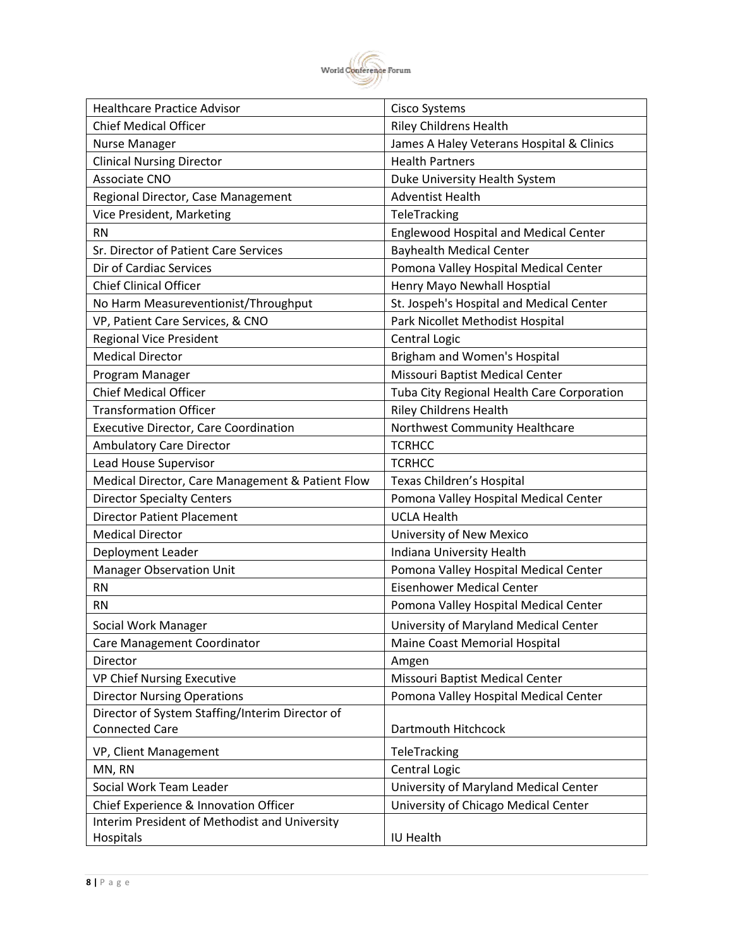

| <b>Healthcare Practice Advisor</b>               | <b>Cisco Systems</b>                         |
|--------------------------------------------------|----------------------------------------------|
| <b>Chief Medical Officer</b>                     | <b>Riley Childrens Health</b>                |
| <b>Nurse Manager</b>                             | James A Haley Veterans Hospital & Clinics    |
| <b>Clinical Nursing Director</b>                 | <b>Health Partners</b>                       |
| Associate CNO                                    | Duke University Health System                |
| Regional Director, Case Management               | <b>Adventist Health</b>                      |
| Vice President, Marketing                        | TeleTracking                                 |
| <b>RN</b>                                        | <b>Englewood Hospital and Medical Center</b> |
| Sr. Director of Patient Care Services            | <b>Bayhealth Medical Center</b>              |
| Dir of Cardiac Services                          | Pomona Valley Hospital Medical Center        |
| <b>Chief Clinical Officer</b>                    | Henry Mayo Newhall Hosptial                  |
| No Harm Measureventionist/Throughput             | St. Jospeh's Hospital and Medical Center     |
| VP, Patient Care Services, & CNO                 | Park Nicollet Methodist Hospital             |
| <b>Regional Vice President</b>                   | Central Logic                                |
| <b>Medical Director</b>                          | Brigham and Women's Hospital                 |
| Program Manager                                  | Missouri Baptist Medical Center              |
| <b>Chief Medical Officer</b>                     | Tuba City Regional Health Care Corporation   |
| <b>Transformation Officer</b>                    | <b>Riley Childrens Health</b>                |
| <b>Executive Director, Care Coordination</b>     | Northwest Community Healthcare               |
| Ambulatory Care Director                         | <b>TCRHCC</b>                                |
| Lead House Supervisor                            | <b>TCRHCC</b>                                |
| Medical Director, Care Management & Patient Flow | Texas Children's Hospital                    |
| <b>Director Specialty Centers</b>                | Pomona Valley Hospital Medical Center        |
| <b>Director Patient Placement</b>                | <b>UCLA Health</b>                           |
| <b>Medical Director</b>                          | University of New Mexico                     |
| Deployment Leader                                | Indiana University Health                    |
| <b>Manager Observation Unit</b>                  | Pomona Valley Hospital Medical Center        |
| <b>RN</b>                                        | <b>Eisenhower Medical Center</b>             |
| <b>RN</b>                                        | Pomona Valley Hospital Medical Center        |
| Social Work Manager                              | University of Maryland Medical Center        |
| Care Management Coordinator                      | Maine Coast Memorial Hospital                |
| Director                                         | Amgen                                        |
| <b>VP Chief Nursing Executive</b>                | Missouri Baptist Medical Center              |
| <b>Director Nursing Operations</b>               | Pomona Valley Hospital Medical Center        |
| Director of System Staffing/Interim Director of  |                                              |
| <b>Connected Care</b>                            | Dartmouth Hitchcock                          |
| VP, Client Management                            | TeleTracking                                 |
| MN, RN                                           | Central Logic                                |
| Social Work Team Leader                          | University of Maryland Medical Center        |
| Chief Experience & Innovation Officer            | University of Chicago Medical Center         |
| Interim President of Methodist and University    |                                              |
| Hospitals                                        | IU Health                                    |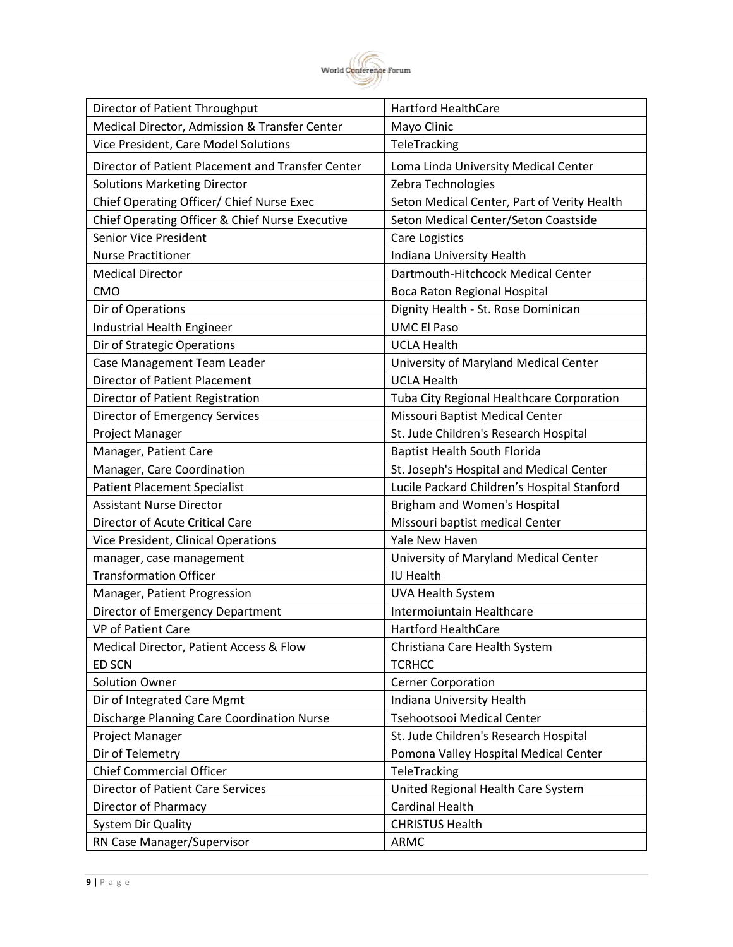

| Director of Patient Throughput                    | <b>Hartford HealthCare</b>                  |
|---------------------------------------------------|---------------------------------------------|
| Medical Director, Admission & Transfer Center     | Mayo Clinic                                 |
| Vice President, Care Model Solutions              | TeleTracking                                |
| Director of Patient Placement and Transfer Center | Loma Linda University Medical Center        |
| <b>Solutions Marketing Director</b>               | Zebra Technologies                          |
| Chief Operating Officer/ Chief Nurse Exec         | Seton Medical Center, Part of Verity Health |
| Chief Operating Officer & Chief Nurse Executive   | Seton Medical Center/Seton Coastside        |
| Senior Vice President                             | Care Logistics                              |
| <b>Nurse Practitioner</b>                         | Indiana University Health                   |
| <b>Medical Director</b>                           | Dartmouth-Hitchcock Medical Center          |
| CMO                                               | Boca Raton Regional Hospital                |
| Dir of Operations                                 | Dignity Health - St. Rose Dominican         |
| Industrial Health Engineer                        | <b>UMC El Paso</b>                          |
| Dir of Strategic Operations                       | <b>UCLA Health</b>                          |
| Case Management Team Leader                       | University of Maryland Medical Center       |
| <b>Director of Patient Placement</b>              | <b>UCLA Health</b>                          |
| Director of Patient Registration                  | Tuba City Regional Healthcare Corporation   |
| Director of Emergency Services                    | Missouri Baptist Medical Center             |
| Project Manager                                   | St. Jude Children's Research Hospital       |
| Manager, Patient Care                             | <b>Baptist Health South Florida</b>         |
| Manager, Care Coordination                        | St. Joseph's Hospital and Medical Center    |
| <b>Patient Placement Specialist</b>               | Lucile Packard Children's Hospital Stanford |
| <b>Assistant Nurse Director</b>                   | Brigham and Women's Hospital                |
| Director of Acute Critical Care                   | Missouri baptist medical Center             |
| Vice President, Clinical Operations               | Yale New Haven                              |
| manager, case management                          | University of Maryland Medical Center       |
| <b>Transformation Officer</b>                     | IU Health                                   |
| Manager, Patient Progression                      | <b>UVA Health System</b>                    |
| Director of Emergency Department                  | Intermoiuntain Healthcare                   |
| <b>VP of Patient Care</b>                         | <b>Hartford HealthCare</b>                  |
| Medical Director, Patient Access & Flow           | Christiana Care Health System               |
| <b>ED SCN</b>                                     | <b>TCRHCC</b>                               |
| <b>Solution Owner</b>                             | <b>Cerner Corporation</b>                   |
| Dir of Integrated Care Mgmt                       | Indiana University Health                   |
| Discharge Planning Care Coordination Nurse        | Tsehootsooi Medical Center                  |
| Project Manager                                   | St. Jude Children's Research Hospital       |
| Dir of Telemetry                                  | Pomona Valley Hospital Medical Center       |
| <b>Chief Commercial Officer</b>                   | TeleTracking                                |
| <b>Director of Patient Care Services</b>          | United Regional Health Care System          |
| Director of Pharmacy                              | <b>Cardinal Health</b>                      |
| System Dir Quality                                | <b>CHRISTUS Health</b>                      |
| RN Case Manager/Supervisor                        | ARMC                                        |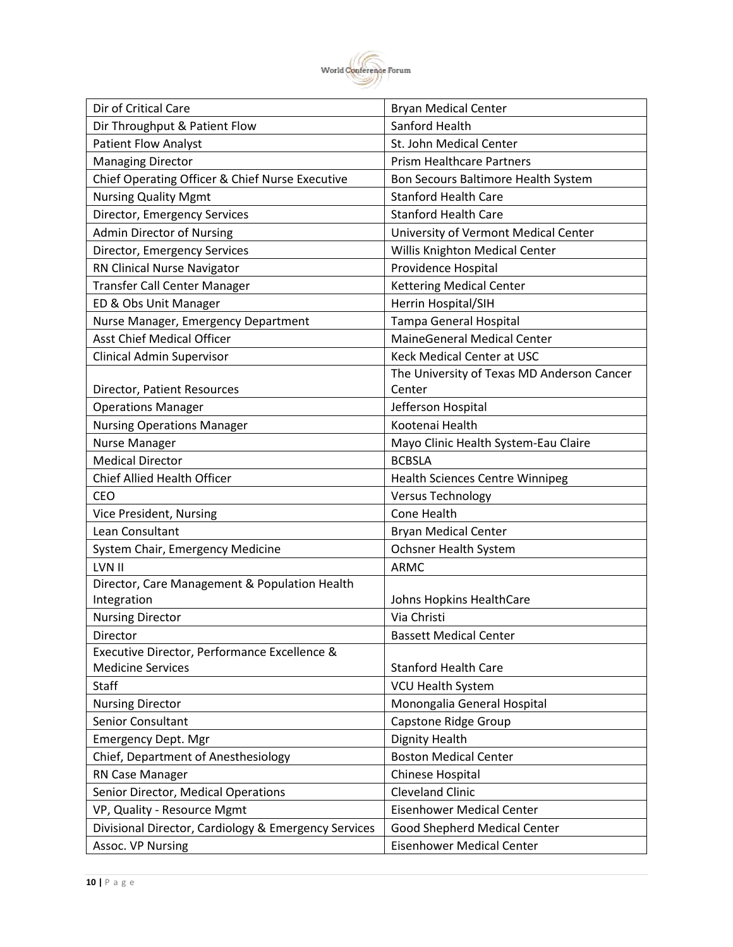

| Dir of Critical Care                                 | <b>Bryan Medical Center</b>                |
|------------------------------------------------------|--------------------------------------------|
| Dir Throughput & Patient Flow                        | Sanford Health                             |
| <b>Patient Flow Analyst</b>                          | St. John Medical Center                    |
| <b>Managing Director</b>                             | <b>Prism Healthcare Partners</b>           |
| Chief Operating Officer & Chief Nurse Executive      | Bon Secours Baltimore Health System        |
| <b>Nursing Quality Mgmt</b>                          | <b>Stanford Health Care</b>                |
| Director, Emergency Services                         | <b>Stanford Health Care</b>                |
| <b>Admin Director of Nursing</b>                     | University of Vermont Medical Center       |
| Director, Emergency Services                         | Willis Knighton Medical Center             |
| RN Clinical Nurse Navigator                          | Providence Hospital                        |
| Transfer Call Center Manager                         | <b>Kettering Medical Center</b>            |
| ED & Obs Unit Manager                                | Herrin Hospital/SIH                        |
| Nurse Manager, Emergency Department                  | Tampa General Hospital                     |
| <b>Asst Chief Medical Officer</b>                    | <b>MaineGeneral Medical Center</b>         |
| <b>Clinical Admin Supervisor</b>                     | <b>Keck Medical Center at USC</b>          |
|                                                      | The University of Texas MD Anderson Cancer |
| Director, Patient Resources                          | Center                                     |
| <b>Operations Manager</b>                            | Jefferson Hospital                         |
| <b>Nursing Operations Manager</b>                    | Kootenai Health                            |
| <b>Nurse Manager</b>                                 | Mayo Clinic Health System-Eau Claire       |
| <b>Medical Director</b>                              | <b>BCBSLA</b>                              |
| <b>Chief Allied Health Officer</b>                   | <b>Health Sciences Centre Winnipeg</b>     |
| <b>CEO</b>                                           | <b>Versus Technology</b>                   |
| Vice President, Nursing                              | Cone Health                                |
| Lean Consultant                                      | <b>Bryan Medical Center</b>                |
| System Chair, Emergency Medicine                     | Ochsner Health System                      |
| LVN II                                               | <b>ARMC</b>                                |
| Director, Care Management & Population Health        |                                            |
| Integration                                          | Johns Hopkins HealthCare                   |
| <b>Nursing Director</b>                              | Via Christi                                |
| Director                                             | <b>Bassett Medical Center</b>              |
| Executive Director, Performance Excellence &         |                                            |
| <b>Medicine Services</b>                             | <b>Stanford Health Care</b>                |
| Staff                                                | <b>VCU Health System</b>                   |
| <b>Nursing Director</b>                              | Monongalia General Hospital                |
| Senior Consultant                                    | Capstone Ridge Group                       |
| <b>Emergency Dept. Mgr</b>                           | Dignity Health                             |
| Chief, Department of Anesthesiology                  | <b>Boston Medical Center</b>               |
| RN Case Manager                                      | Chinese Hospital                           |
| Senior Director, Medical Operations                  | <b>Cleveland Clinic</b>                    |
| VP, Quality - Resource Mgmt                          | <b>Eisenhower Medical Center</b>           |
| Divisional Director, Cardiology & Emergency Services | Good Shepherd Medical Center               |
| Assoc. VP Nursing                                    | <b>Eisenhower Medical Center</b>           |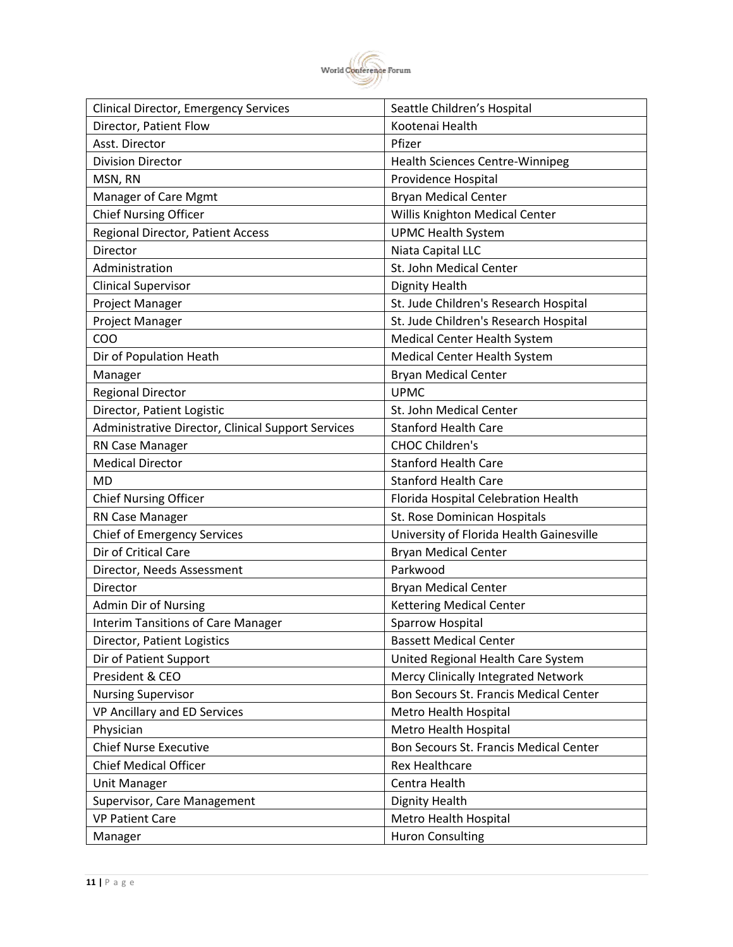

| <b>Clinical Director, Emergency Services</b>       | Seattle Children's Hospital              |
|----------------------------------------------------|------------------------------------------|
| Director, Patient Flow                             | Kootenai Health                          |
| Asst. Director                                     | Pfizer                                   |
| <b>Division Director</b>                           | <b>Health Sciences Centre-Winnipeg</b>   |
| MSN, RN                                            | Providence Hospital                      |
| Manager of Care Mgmt                               | <b>Bryan Medical Center</b>              |
| <b>Chief Nursing Officer</b>                       | Willis Knighton Medical Center           |
| Regional Director, Patient Access                  | <b>UPMC Health System</b>                |
| Director                                           | Niata Capital LLC                        |
| Administration                                     | St. John Medical Center                  |
| <b>Clinical Supervisor</b>                         | Dignity Health                           |
| Project Manager                                    | St. Jude Children's Research Hospital    |
| Project Manager                                    | St. Jude Children's Research Hospital    |
| COO                                                | Medical Center Health System             |
| Dir of Population Heath                            | <b>Medical Center Health System</b>      |
| Manager                                            | <b>Bryan Medical Center</b>              |
| <b>Regional Director</b>                           | <b>UPMC</b>                              |
| Director, Patient Logistic                         | St. John Medical Center                  |
| Administrative Director, Clinical Support Services | <b>Stanford Health Care</b>              |
| RN Case Manager                                    | <b>CHOC Children's</b>                   |
| <b>Medical Director</b>                            | <b>Stanford Health Care</b>              |
| <b>MD</b>                                          | <b>Stanford Health Care</b>              |
| <b>Chief Nursing Officer</b>                       | Florida Hospital Celebration Health      |
| RN Case Manager                                    | St. Rose Dominican Hospitals             |
| <b>Chief of Emergency Services</b>                 | University of Florida Health Gainesville |
| Dir of Critical Care                               | <b>Bryan Medical Center</b>              |
| Director, Needs Assessment                         | Parkwood                                 |
| Director                                           | <b>Bryan Medical Center</b>              |
| <b>Admin Dir of Nursing</b>                        | <b>Kettering Medical Center</b>          |
| <b>Interim Tansitions of Care Manager</b>          | <b>Sparrow Hospital</b>                  |
| Director, Patient Logistics                        | <b>Bassett Medical Center</b>            |
| Dir of Patient Support                             | United Regional Health Care System       |
| President & CEO                                    | Mercy Clinically Integrated Network      |
| <b>Nursing Supervisor</b>                          | Bon Secours St. Francis Medical Center   |
| VP Ancillary and ED Services                       | Metro Health Hospital                    |
| Physician                                          | Metro Health Hospital                    |
| <b>Chief Nurse Executive</b>                       | Bon Secours St. Francis Medical Center   |
| <b>Chief Medical Officer</b>                       | <b>Rex Healthcare</b>                    |
| Unit Manager                                       | Centra Health                            |
| Supervisor, Care Management                        | <b>Dignity Health</b>                    |
| <b>VP Patient Care</b>                             | Metro Health Hospital                    |
| Manager                                            | <b>Huron Consulting</b>                  |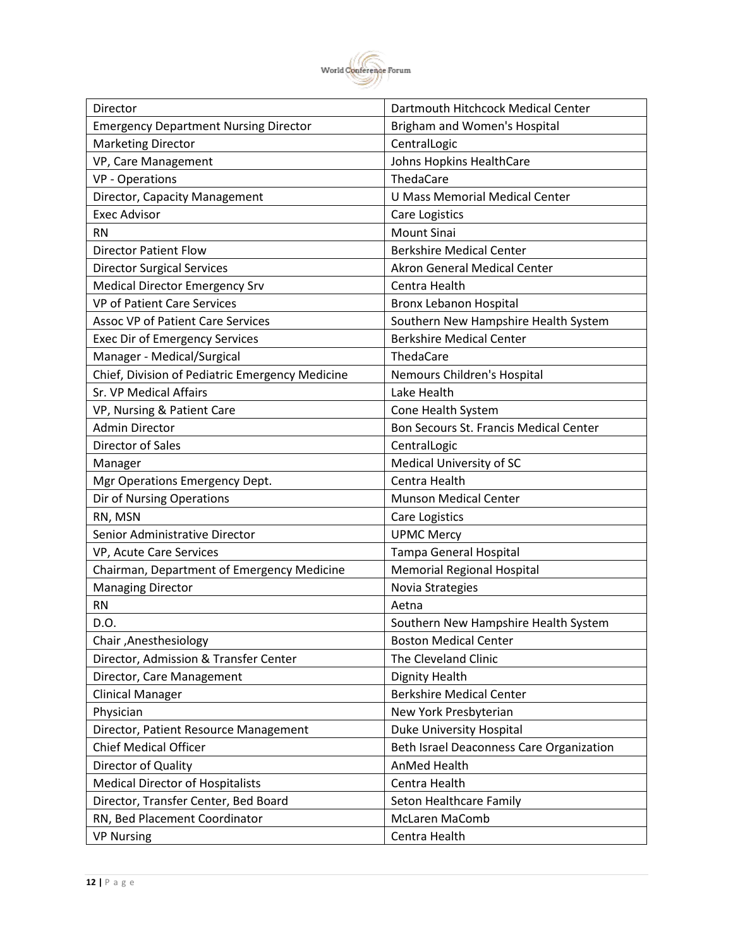

| Director                                        | Dartmouth Hitchcock Medical Center       |
|-------------------------------------------------|------------------------------------------|
| <b>Emergency Department Nursing Director</b>    | Brigham and Women's Hospital             |
| <b>Marketing Director</b>                       | CentralLogic                             |
| VP, Care Management                             | Johns Hopkins HealthCare                 |
| <b>VP</b> - Operations                          | ThedaCare                                |
| Director, Capacity Management                   | <b>U Mass Memorial Medical Center</b>    |
| <b>Exec Advisor</b>                             | Care Logistics                           |
| <b>RN</b>                                       | <b>Mount Sinai</b>                       |
| <b>Director Patient Flow</b>                    | <b>Berkshire Medical Center</b>          |
| <b>Director Surgical Services</b>               | <b>Akron General Medical Center</b>      |
| <b>Medical Director Emergency Srv</b>           | Centra Health                            |
| <b>VP of Patient Care Services</b>              | <b>Bronx Lebanon Hospital</b>            |
| <b>Assoc VP of Patient Care Services</b>        | Southern New Hampshire Health System     |
| <b>Exec Dir of Emergency Services</b>           | <b>Berkshire Medical Center</b>          |
| Manager - Medical/Surgical                      | ThedaCare                                |
| Chief, Division of Pediatric Emergency Medicine | Nemours Children's Hospital              |
| Sr. VP Medical Affairs                          | Lake Health                              |
| VP, Nursing & Patient Care                      | Cone Health System                       |
| <b>Admin Director</b>                           | Bon Secours St. Francis Medical Center   |
| <b>Director of Sales</b>                        | CentralLogic                             |
| Manager                                         | Medical University of SC                 |
| Mgr Operations Emergency Dept.                  | Centra Health                            |
| Dir of Nursing Operations                       | <b>Munson Medical Center</b>             |
| RN, MSN                                         | Care Logistics                           |
| Senior Administrative Director                  | <b>UPMC Mercy</b>                        |
| VP, Acute Care Services                         | Tampa General Hospital                   |
| Chairman, Department of Emergency Medicine      | <b>Memorial Regional Hospital</b>        |
| <b>Managing Director</b>                        | Novia Strategies                         |
| <b>RN</b>                                       | Aetna                                    |
| D.O.                                            | Southern New Hampshire Health System     |
| Chair, Anesthesiology                           | <b>Boston Medical Center</b>             |
| Director, Admission & Transfer Center           | The Cleveland Clinic                     |
| Director, Care Management                       | <b>Dignity Health</b>                    |
| <b>Clinical Manager</b>                         | <b>Berkshire Medical Center</b>          |
| Physician                                       | New York Presbyterian                    |
| Director, Patient Resource Management           | Duke University Hospital                 |
| <b>Chief Medical Officer</b>                    | Beth Israel Deaconness Care Organization |
| Director of Quality                             | AnMed Health                             |
| <b>Medical Director of Hospitalists</b>         | Centra Health                            |
| Director, Transfer Center, Bed Board            | Seton Healthcare Family                  |
| RN, Bed Placement Coordinator                   | McLaren MaComb                           |
| <b>VP Nursing</b>                               | Centra Health                            |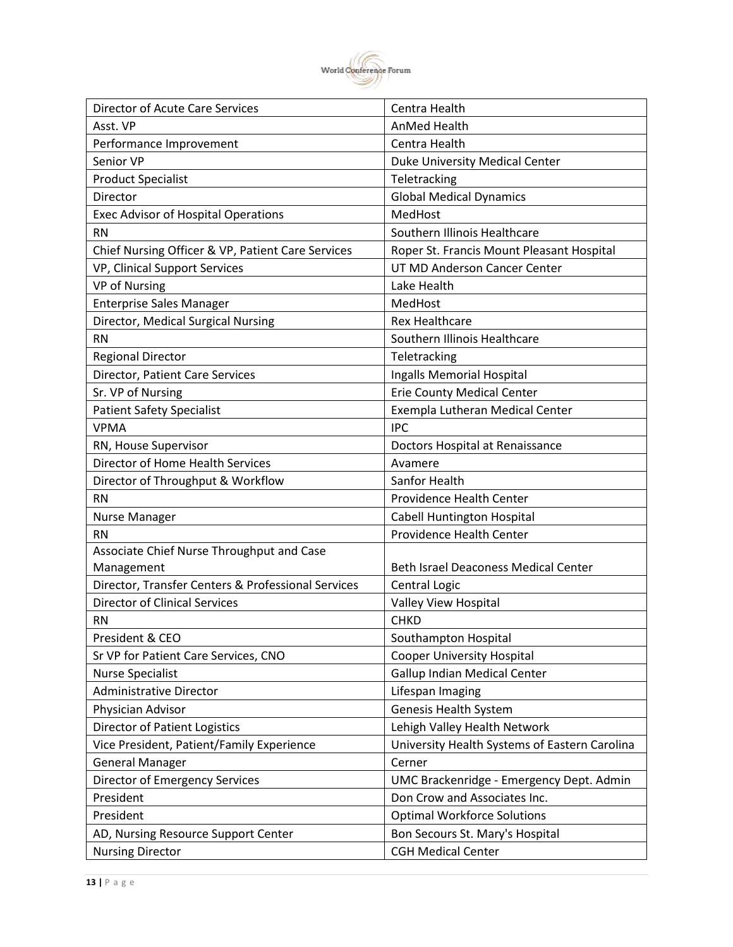

| Director of Acute Care Services                    | Centra Health                                 |
|----------------------------------------------------|-----------------------------------------------|
| Asst. VP                                           | AnMed Health                                  |
| Performance Improvement                            | Centra Health                                 |
| Senior VP                                          | <b>Duke University Medical Center</b>         |
| <b>Product Specialist</b>                          | Teletracking                                  |
| Director                                           | <b>Global Medical Dynamics</b>                |
| <b>Exec Advisor of Hospital Operations</b>         | MedHost                                       |
| <b>RN</b>                                          | Southern Illinois Healthcare                  |
| Chief Nursing Officer & VP, Patient Care Services  | Roper St. Francis Mount Pleasant Hospital     |
| VP, Clinical Support Services                      | UT MD Anderson Cancer Center                  |
| <b>VP of Nursing</b>                               | Lake Health                                   |
| <b>Enterprise Sales Manager</b>                    | MedHost                                       |
| Director, Medical Surgical Nursing                 | <b>Rex Healthcare</b>                         |
| <b>RN</b>                                          | Southern Illinois Healthcare                  |
| <b>Regional Director</b>                           | Teletracking                                  |
| Director, Patient Care Services                    | Ingalls Memorial Hospital                     |
| Sr. VP of Nursing                                  | <b>Erie County Medical Center</b>             |
| <b>Patient Safety Specialist</b>                   | Exempla Lutheran Medical Center               |
| <b>VPMA</b>                                        | <b>IPC</b>                                    |
| RN, House Supervisor                               | Doctors Hospital at Renaissance               |
| Director of Home Health Services                   | Avamere                                       |
| Director of Throughput & Workflow                  | Sanfor Health                                 |
| <b>RN</b>                                          | Providence Health Center                      |
| <b>Nurse Manager</b>                               | <b>Cabell Huntington Hospital</b>             |
| <b>RN</b>                                          | Providence Health Center                      |
| Associate Chief Nurse Throughput and Case          |                                               |
| Management                                         | Beth Israel Deaconess Medical Center          |
| Director, Transfer Centers & Professional Services | Central Logic                                 |
| <b>Director of Clinical Services</b>               | Valley View Hospital                          |
| <b>RN</b>                                          | <b>CHKD</b>                                   |
| President & CEO                                    | Southampton Hospital                          |
| Sr VP for Patient Care Services, CNO               | <b>Cooper University Hospital</b>             |
| <b>Nurse Specialist</b>                            | <b>Gallup Indian Medical Center</b>           |
| <b>Administrative Director</b>                     | Lifespan Imaging                              |
| Physician Advisor                                  | Genesis Health System                         |
| <b>Director of Patient Logistics</b>               | Lehigh Valley Health Network                  |
| Vice President, Patient/Family Experience          | University Health Systems of Eastern Carolina |
| <b>General Manager</b>                             | Cerner                                        |
| Director of Emergency Services                     | UMC Brackenridge - Emergency Dept. Admin      |
| President                                          | Don Crow and Associates Inc.                  |
| President                                          | <b>Optimal Workforce Solutions</b>            |
| AD, Nursing Resource Support Center                | Bon Secours St. Mary's Hospital               |
| <b>Nursing Director</b>                            | <b>CGH Medical Center</b>                     |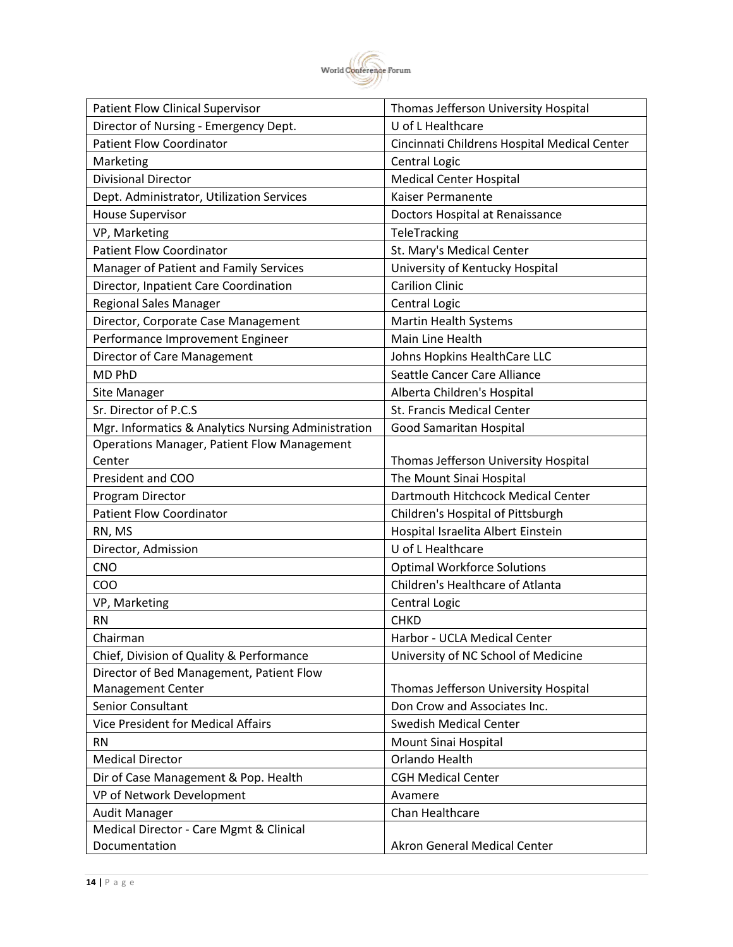

| <b>Patient Flow Clinical Supervisor</b>             | Thomas Jefferson University Hospital         |
|-----------------------------------------------------|----------------------------------------------|
| Director of Nursing - Emergency Dept.               | U of L Healthcare                            |
| <b>Patient Flow Coordinator</b>                     | Cincinnati Childrens Hospital Medical Center |
| Marketing                                           | Central Logic                                |
| <b>Divisional Director</b>                          | <b>Medical Center Hospital</b>               |
| Dept. Administrator, Utilization Services           | Kaiser Permanente                            |
| <b>House Supervisor</b>                             | Doctors Hospital at Renaissance              |
| VP, Marketing                                       | TeleTracking                                 |
| <b>Patient Flow Coordinator</b>                     | St. Mary's Medical Center                    |
| Manager of Patient and Family Services              | University of Kentucky Hospital              |
| Director, Inpatient Care Coordination               | <b>Carilion Clinic</b>                       |
| <b>Regional Sales Manager</b>                       | Central Logic                                |
| Director, Corporate Case Management                 | <b>Martin Health Systems</b>                 |
| Performance Improvement Engineer                    | Main Line Health                             |
| Director of Care Management                         | Johns Hopkins HealthCare LLC                 |
| MD PhD                                              | Seattle Cancer Care Alliance                 |
| Site Manager                                        | Alberta Children's Hospital                  |
| Sr. Director of P.C.S                               | St. Francis Medical Center                   |
| Mgr. Informatics & Analytics Nursing Administration | Good Samaritan Hospital                      |
| <b>Operations Manager, Patient Flow Management</b>  |                                              |
| Center                                              | Thomas Jefferson University Hospital         |
| President and COO                                   | The Mount Sinai Hospital                     |
| Program Director                                    | Dartmouth Hitchcock Medical Center           |
| <b>Patient Flow Coordinator</b>                     | Children's Hospital of Pittsburgh            |
| RN, MS                                              | Hospital Israelita Albert Einstein           |
| Director, Admission                                 | U of L Healthcare                            |
| <b>CNO</b>                                          | <b>Optimal Workforce Solutions</b>           |
| COO                                                 | Children's Healthcare of Atlanta             |
| VP, Marketing                                       | Central Logic                                |
| <b>RN</b>                                           | <b>CHKD</b>                                  |
| Chairman                                            | Harbor - UCLA Medical Center                 |
| Chief, Division of Quality & Performance            | University of NC School of Medicine          |
| Director of Bed Management, Patient Flow            |                                              |
| <b>Management Center</b>                            | Thomas Jefferson University Hospital         |
| Senior Consultant                                   | Don Crow and Associates Inc.                 |
| <b>Vice President for Medical Affairs</b>           | <b>Swedish Medical Center</b>                |
| <b>RN</b>                                           | Mount Sinai Hospital                         |
| <b>Medical Director</b>                             | Orlando Health                               |
| Dir of Case Management & Pop. Health                | <b>CGH Medical Center</b>                    |
| VP of Network Development                           | Avamere                                      |
| <b>Audit Manager</b>                                | Chan Healthcare                              |
| Medical Director - Care Mgmt & Clinical             |                                              |
| Documentation                                       | Akron General Medical Center                 |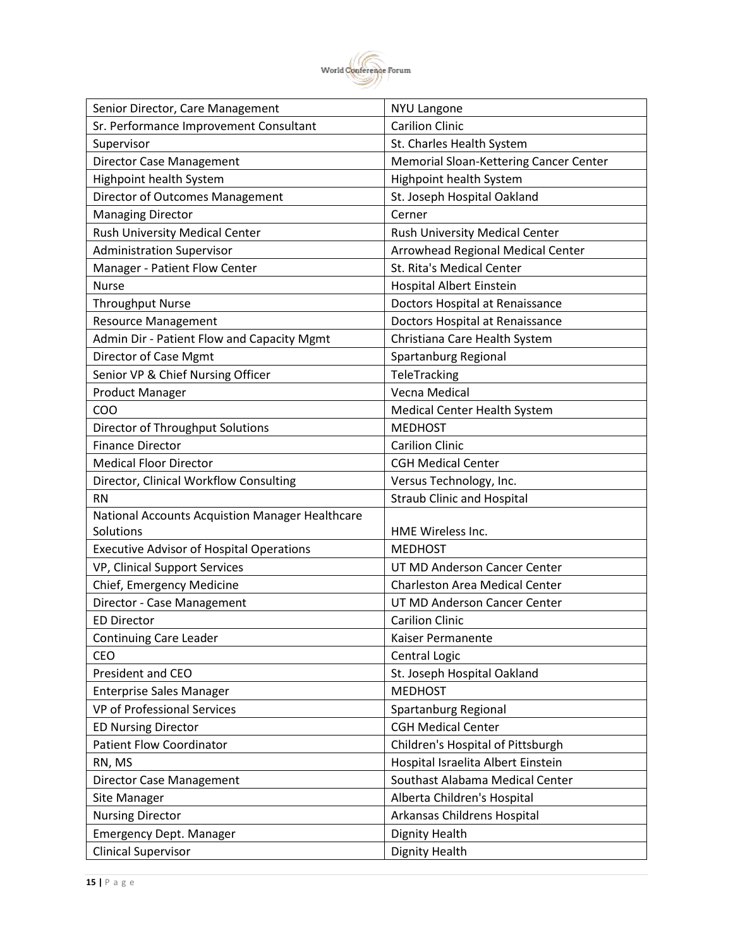

| Senior Director, Care Management                | <b>NYU Langone</b>                     |
|-------------------------------------------------|----------------------------------------|
| Sr. Performance Improvement Consultant          | <b>Carilion Clinic</b>                 |
| Supervisor                                      | St. Charles Health System              |
| Director Case Management                        | Memorial Sloan-Kettering Cancer Center |
| Highpoint health System                         | Highpoint health System                |
| Director of Outcomes Management                 | St. Joseph Hospital Oakland            |
| <b>Managing Director</b>                        | Cerner                                 |
| Rush University Medical Center                  | Rush University Medical Center         |
| <b>Administration Supervisor</b>                | Arrowhead Regional Medical Center      |
| Manager - Patient Flow Center                   | St. Rita's Medical Center              |
| <b>Nurse</b>                                    | Hospital Albert Einstein               |
| <b>Throughput Nurse</b>                         | Doctors Hospital at Renaissance        |
| <b>Resource Management</b>                      | Doctors Hospital at Renaissance        |
| Admin Dir - Patient Flow and Capacity Mgmt      | Christiana Care Health System          |
| Director of Case Mgmt                           | Spartanburg Regional                   |
| Senior VP & Chief Nursing Officer               | TeleTracking                           |
| <b>Product Manager</b>                          | Vecna Medical                          |
| COO                                             | Medical Center Health System           |
| Director of Throughput Solutions                | <b>MEDHOST</b>                         |
| <b>Finance Director</b>                         | <b>Carilion Clinic</b>                 |
| <b>Medical Floor Director</b>                   | <b>CGH Medical Center</b>              |
| Director, Clinical Workflow Consulting          | Versus Technology, Inc.                |
| <b>RN</b>                                       | <b>Straub Clinic and Hospital</b>      |
| National Accounts Acquistion Manager Healthcare |                                        |
| Solutions                                       | HME Wireless Inc.                      |
| <b>Executive Advisor of Hospital Operations</b> | <b>MEDHOST</b>                         |
| VP, Clinical Support Services                   | UT MD Anderson Cancer Center           |
| Chief, Emergency Medicine                       | <b>Charleston Area Medical Center</b>  |
| Director - Case Management                      | UT MD Anderson Cancer Center           |
| <b>ED Director</b>                              | <b>Carilion Clinic</b>                 |
| <b>Continuing Care Leader</b>                   | Kaiser Permanente                      |
| <b>CEO</b>                                      | Central Logic                          |
| <b>President and CEO</b>                        | St. Joseph Hospital Oakland            |
| <b>Enterprise Sales Manager</b>                 | <b>MEDHOST</b>                         |
| VP of Professional Services                     | Spartanburg Regional                   |
| <b>ED Nursing Director</b>                      | <b>CGH Medical Center</b>              |
| <b>Patient Flow Coordinator</b>                 | Children's Hospital of Pittsburgh      |
| RN, MS                                          | Hospital Israelita Albert Einstein     |
| <b>Director Case Management</b>                 | Southast Alabama Medical Center        |
| Site Manager                                    | Alberta Children's Hospital            |
| <b>Nursing Director</b>                         | Arkansas Childrens Hospital            |
| <b>Emergency Dept. Manager</b>                  | <b>Dignity Health</b>                  |
| <b>Clinical Supervisor</b>                      | <b>Dignity Health</b>                  |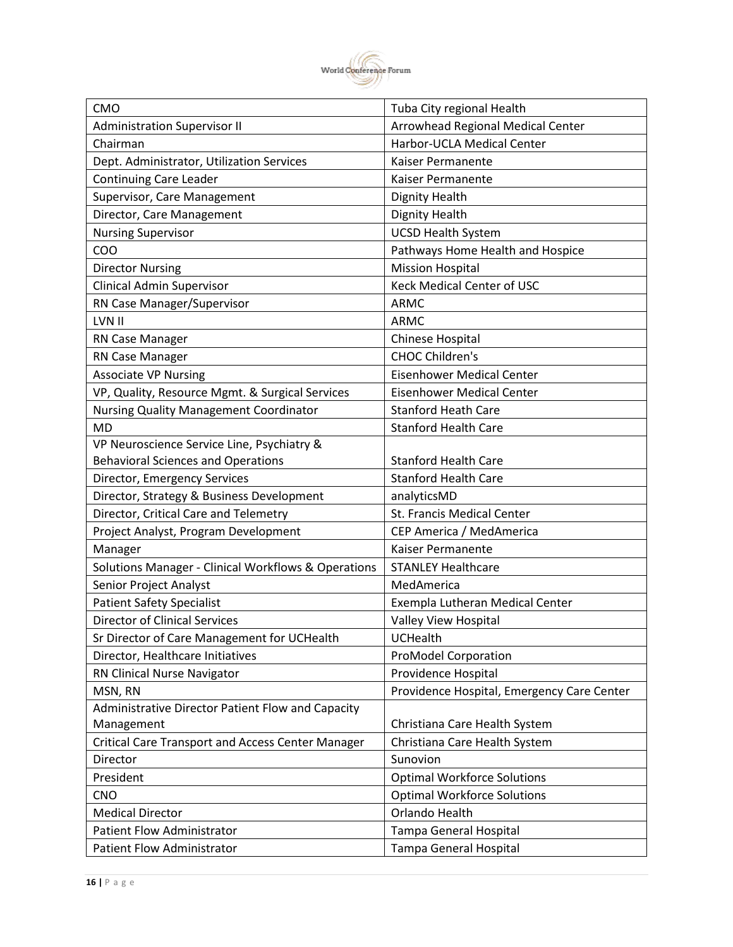

| <b>CMO</b>                                               | Tuba City regional Health                  |
|----------------------------------------------------------|--------------------------------------------|
| <b>Administration Supervisor II</b>                      | Arrowhead Regional Medical Center          |
| Chairman                                                 | Harbor-UCLA Medical Center                 |
| Dept. Administrator, Utilization Services                | Kaiser Permanente                          |
| <b>Continuing Care Leader</b>                            | Kaiser Permanente                          |
| Supervisor, Care Management                              | <b>Dignity Health</b>                      |
| Director, Care Management                                | <b>Dignity Health</b>                      |
| <b>Nursing Supervisor</b>                                | <b>UCSD Health System</b>                  |
| COO                                                      | Pathways Home Health and Hospice           |
| <b>Director Nursing</b>                                  | <b>Mission Hospital</b>                    |
| <b>Clinical Admin Supervisor</b>                         | <b>Keck Medical Center of USC</b>          |
| RN Case Manager/Supervisor                               | <b>ARMC</b>                                |
| LVN II                                                   | <b>ARMC</b>                                |
| RN Case Manager                                          | Chinese Hospital                           |
| RN Case Manager                                          | <b>CHOC Children's</b>                     |
| <b>Associate VP Nursing</b>                              | <b>Eisenhower Medical Center</b>           |
| VP, Quality, Resource Mgmt. & Surgical Services          | <b>Eisenhower Medical Center</b>           |
| <b>Nursing Quality Management Coordinator</b>            | <b>Stanford Heath Care</b>                 |
| <b>MD</b>                                                | <b>Stanford Health Care</b>                |
| VP Neuroscience Service Line, Psychiatry &               |                                            |
| <b>Behavioral Sciences and Operations</b>                | <b>Stanford Health Care</b>                |
| Director, Emergency Services                             | <b>Stanford Health Care</b>                |
| Director, Strategy & Business Development                | analyticsMD                                |
| Director, Critical Care and Telemetry                    | St. Francis Medical Center                 |
| Project Analyst, Program Development                     | CEP America / MedAmerica                   |
| Manager                                                  | Kaiser Permanente                          |
| Solutions Manager - Clinical Workflows & Operations      | <b>STANLEY Healthcare</b>                  |
| Senior Project Analyst                                   | MedAmerica                                 |
| <b>Patient Safety Specialist</b>                         | Exempla Lutheran Medical Center            |
| <b>Director of Clinical Services</b>                     | Valley View Hospital                       |
| Sr Director of Care Management for UCHealth              | <b>UCHealth</b>                            |
| Director, Healthcare Initiatives                         | <b>ProModel Corporation</b>                |
| RN Clinical Nurse Navigator                              | Providence Hospital                        |
| MSN, RN                                                  | Providence Hospital, Emergency Care Center |
| Administrative Director Patient Flow and Capacity        |                                            |
| Management                                               | Christiana Care Health System              |
| <b>Critical Care Transport and Access Center Manager</b> | Christiana Care Health System              |
| Director                                                 | Sunovion                                   |
| President                                                | <b>Optimal Workforce Solutions</b>         |
| <b>CNO</b>                                               | <b>Optimal Workforce Solutions</b>         |
| <b>Medical Director</b>                                  | Orlando Health                             |
| <b>Patient Flow Administrator</b>                        | Tampa General Hospital                     |
| <b>Patient Flow Administrator</b>                        | Tampa General Hospital                     |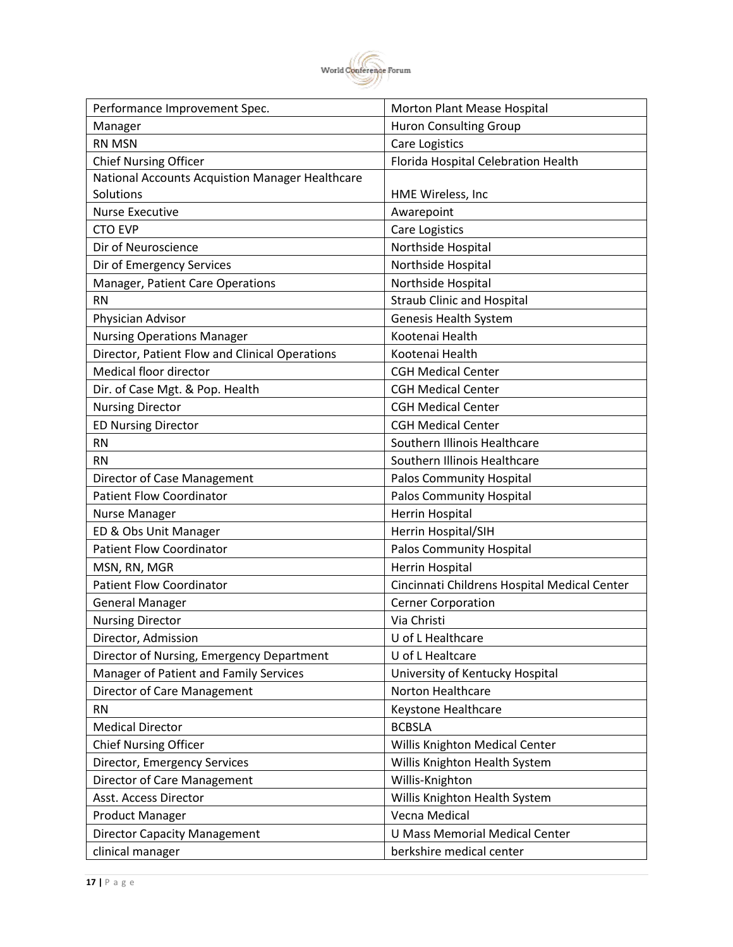

| Performance Improvement Spec.                   | Morton Plant Mease Hospital                  |
|-------------------------------------------------|----------------------------------------------|
| Manager                                         | <b>Huron Consulting Group</b>                |
| <b>RN MSN</b>                                   | Care Logistics                               |
| <b>Chief Nursing Officer</b>                    | Florida Hospital Celebration Health          |
| National Accounts Acquistion Manager Healthcare |                                              |
| Solutions                                       | HME Wireless, Inc                            |
| <b>Nurse Executive</b>                          | Awarepoint                                   |
| <b>CTO EVP</b>                                  | Care Logistics                               |
| Dir of Neuroscience                             | Northside Hospital                           |
| Dir of Emergency Services                       | Northside Hospital                           |
| Manager, Patient Care Operations                | Northside Hospital                           |
| <b>RN</b>                                       | <b>Straub Clinic and Hospital</b>            |
| Physician Advisor                               | Genesis Health System                        |
| <b>Nursing Operations Manager</b>               | Kootenai Health                              |
| Director, Patient Flow and Clinical Operations  | Kootenai Health                              |
| Medical floor director                          | <b>CGH Medical Center</b>                    |
| Dir. of Case Mgt. & Pop. Health                 | <b>CGH Medical Center</b>                    |
| <b>Nursing Director</b>                         | <b>CGH Medical Center</b>                    |
| <b>ED Nursing Director</b>                      | <b>CGH Medical Center</b>                    |
| <b>RN</b>                                       | Southern Illinois Healthcare                 |
| <b>RN</b>                                       | Southern Illinois Healthcare                 |
| Director of Case Management                     | <b>Palos Community Hospital</b>              |
| <b>Patient Flow Coordinator</b>                 | <b>Palos Community Hospital</b>              |
| Nurse Manager                                   | <b>Herrin Hospital</b>                       |
| ED & Obs Unit Manager                           | Herrin Hospital/SIH                          |
| <b>Patient Flow Coordinator</b>                 | <b>Palos Community Hospital</b>              |
| MSN, RN, MGR                                    | Herrin Hospital                              |
| <b>Patient Flow Coordinator</b>                 | Cincinnati Childrens Hospital Medical Center |
| <b>General Manager</b>                          | <b>Cerner Corporation</b>                    |
| <b>Nursing Director</b>                         | Via Christi                                  |
| Director, Admission                             | U of L Healthcare                            |
| Director of Nursing, Emergency Department       | U of L Healtcare                             |
| Manager of Patient and Family Services          | University of Kentucky Hospital              |
| Director of Care Management                     | Norton Healthcare                            |
| <b>RN</b>                                       | Keystone Healthcare                          |
| <b>Medical Director</b>                         | <b>BCBSLA</b>                                |
| <b>Chief Nursing Officer</b>                    | Willis Knighton Medical Center               |
| Director, Emergency Services                    | Willis Knighton Health System                |
| Director of Care Management                     | Willis-Knighton                              |
| Asst. Access Director                           | Willis Knighton Health System                |
| <b>Product Manager</b>                          | Vecna Medical                                |
| <b>Director Capacity Management</b>             | <b>U Mass Memorial Medical Center</b>        |
| clinical manager                                | berkshire medical center                     |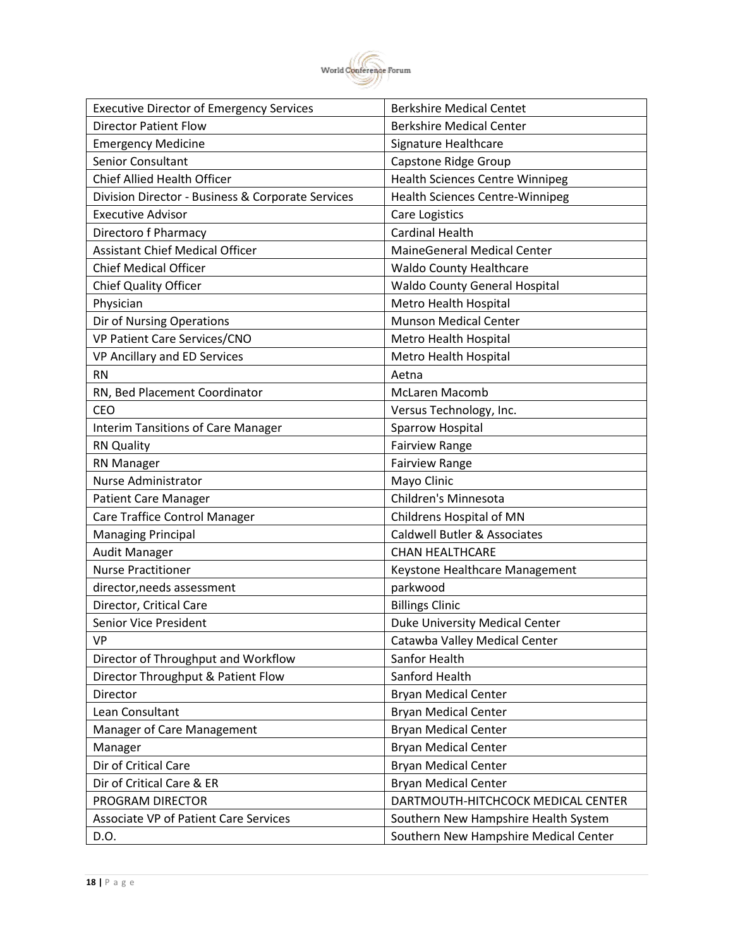

| <b>Executive Director of Emergency Services</b>   | <b>Berkshire Medical Centet</b>         |
|---------------------------------------------------|-----------------------------------------|
| <b>Director Patient Flow</b>                      | <b>Berkshire Medical Center</b>         |
| <b>Emergency Medicine</b>                         | Signature Healthcare                    |
| Senior Consultant                                 | Capstone Ridge Group                    |
| <b>Chief Allied Health Officer</b>                | <b>Health Sciences Centre Winnipeg</b>  |
| Division Director - Business & Corporate Services | <b>Health Sciences Centre-Winnipeg</b>  |
| <b>Executive Advisor</b>                          | Care Logistics                          |
| Directoro f Pharmacy                              | <b>Cardinal Health</b>                  |
| <b>Assistant Chief Medical Officer</b>            | <b>MaineGeneral Medical Center</b>      |
| <b>Chief Medical Officer</b>                      | <b>Waldo County Healthcare</b>          |
| <b>Chief Quality Officer</b>                      | <b>Waldo County General Hospital</b>    |
| Physician                                         | Metro Health Hospital                   |
| Dir of Nursing Operations                         | <b>Munson Medical Center</b>            |
| VP Patient Care Services/CNO                      | Metro Health Hospital                   |
| VP Ancillary and ED Services                      | Metro Health Hospital                   |
| <b>RN</b>                                         | Aetna                                   |
| RN, Bed Placement Coordinator                     | <b>McLaren Macomb</b>                   |
| <b>CEO</b>                                        | Versus Technology, Inc.                 |
| <b>Interim Tansitions of Care Manager</b>         | <b>Sparrow Hospital</b>                 |
| <b>RN Quality</b>                                 | <b>Fairview Range</b>                   |
| <b>RN Manager</b>                                 | <b>Fairview Range</b>                   |
| Nurse Administrator                               | Mayo Clinic                             |
| <b>Patient Care Manager</b>                       | Children's Minnesota                    |
| Care Traffice Control Manager                     | Childrens Hospital of MN                |
| <b>Managing Principal</b>                         | <b>Caldwell Butler &amp; Associates</b> |
| <b>Audit Manager</b>                              | <b>CHAN HEALTHCARE</b>                  |
| <b>Nurse Practitioner</b>                         | Keystone Healthcare Management          |
| director, needs assessment                        | parkwood                                |
| Director, Critical Care                           | <b>Billings Clinic</b>                  |
| <b>Senior Vice President</b>                      | Duke University Medical Center          |
| <b>VP</b>                                         | Catawba Valley Medical Center           |
| Director of Throughput and Workflow               | Sanfor Health                           |
| Director Throughput & Patient Flow                | Sanford Health                          |
| Director                                          | <b>Bryan Medical Center</b>             |
| Lean Consultant                                   | <b>Bryan Medical Center</b>             |
| Manager of Care Management                        | <b>Bryan Medical Center</b>             |
| Manager                                           | <b>Bryan Medical Center</b>             |
| Dir of Critical Care                              | <b>Bryan Medical Center</b>             |
| Dir of Critical Care & ER                         | <b>Bryan Medical Center</b>             |
| PROGRAM DIRECTOR                                  | DARTMOUTH-HITCHCOCK MEDICAL CENTER      |
| <b>Associate VP of Patient Care Services</b>      | Southern New Hampshire Health System    |
| D.O.                                              | Southern New Hampshire Medical Center   |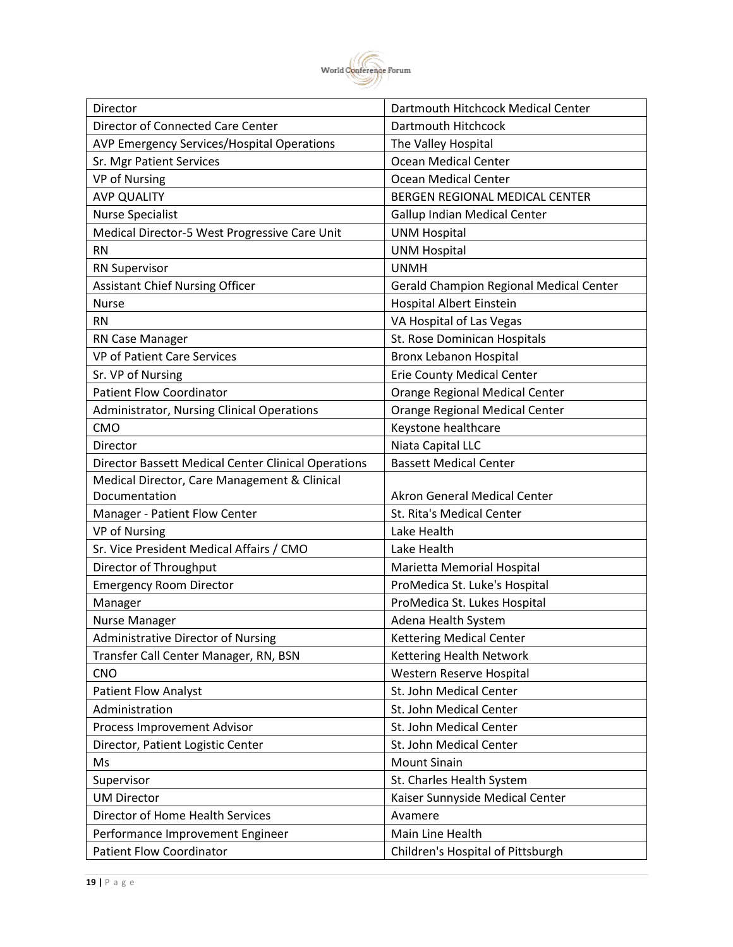

| Director                                            | Dartmouth Hitchcock Medical Center      |
|-----------------------------------------------------|-----------------------------------------|
| Director of Connected Care Center                   | Dartmouth Hitchcock                     |
| AVP Emergency Services/Hospital Operations          | The Valley Hospital                     |
| Sr. Mgr Patient Services                            | <b>Ocean Medical Center</b>             |
| <b>VP of Nursing</b>                                | Ocean Medical Center                    |
| <b>AVP QUALITY</b>                                  | BERGEN REGIONAL MEDICAL CENTER          |
| <b>Nurse Specialist</b>                             | Gallup Indian Medical Center            |
| Medical Director-5 West Progressive Care Unit       | <b>UNM Hospital</b>                     |
| <b>RN</b>                                           | <b>UNM Hospital</b>                     |
| <b>RN Supervisor</b>                                | <b>UNMH</b>                             |
| Assistant Chief Nursing Officer                     | Gerald Champion Regional Medical Center |
| <b>Nurse</b>                                        | <b>Hospital Albert Einstein</b>         |
| <b>RN</b>                                           | VA Hospital of Las Vegas                |
| RN Case Manager                                     | St. Rose Dominican Hospitals            |
| <b>VP of Patient Care Services</b>                  | Bronx Lebanon Hospital                  |
| Sr. VP of Nursing                                   | <b>Erie County Medical Center</b>       |
| <b>Patient Flow Coordinator</b>                     | <b>Orange Regional Medical Center</b>   |
| Administrator, Nursing Clinical Operations          | Orange Regional Medical Center          |
| CMO                                                 | Keystone healthcare                     |
| Director                                            | Niata Capital LLC                       |
| Director Bassett Medical Center Clinical Operations | <b>Bassett Medical Center</b>           |
| Medical Director, Care Management & Clinical        |                                         |
| Documentation                                       | <b>Akron General Medical Center</b>     |
| Manager - Patient Flow Center                       | St. Rita's Medical Center               |
| <b>VP of Nursing</b>                                | Lake Health                             |
| Sr. Vice President Medical Affairs / CMO            | Lake Health                             |
| Director of Throughput                              | Marietta Memorial Hospital              |
| <b>Emergency Room Director</b>                      | ProMedica St. Luke's Hospital           |
| Manager                                             | ProMedica St. Lukes Hospital            |
| Nurse Manager                                       | Adena Health System                     |
| <b>Administrative Director of Nursing</b>           | <b>Kettering Medical Center</b>         |
| Transfer Call Center Manager, RN, BSN               | Kettering Health Network                |
| <b>CNO</b>                                          | Western Reserve Hospital                |
| <b>Patient Flow Analyst</b>                         | St. John Medical Center                 |
| Administration                                      | St. John Medical Center                 |
| Process Improvement Advisor                         | St. John Medical Center                 |
| Director, Patient Logistic Center                   | St. John Medical Center                 |
| Ms                                                  | <b>Mount Sinain</b>                     |
| Supervisor                                          | St. Charles Health System               |
| <b>UM Director</b>                                  | Kaiser Sunnyside Medical Center         |
| Director of Home Health Services                    | Avamere                                 |
| Performance Improvement Engineer                    | Main Line Health                        |
| <b>Patient Flow Coordinator</b>                     | Children's Hospital of Pittsburgh       |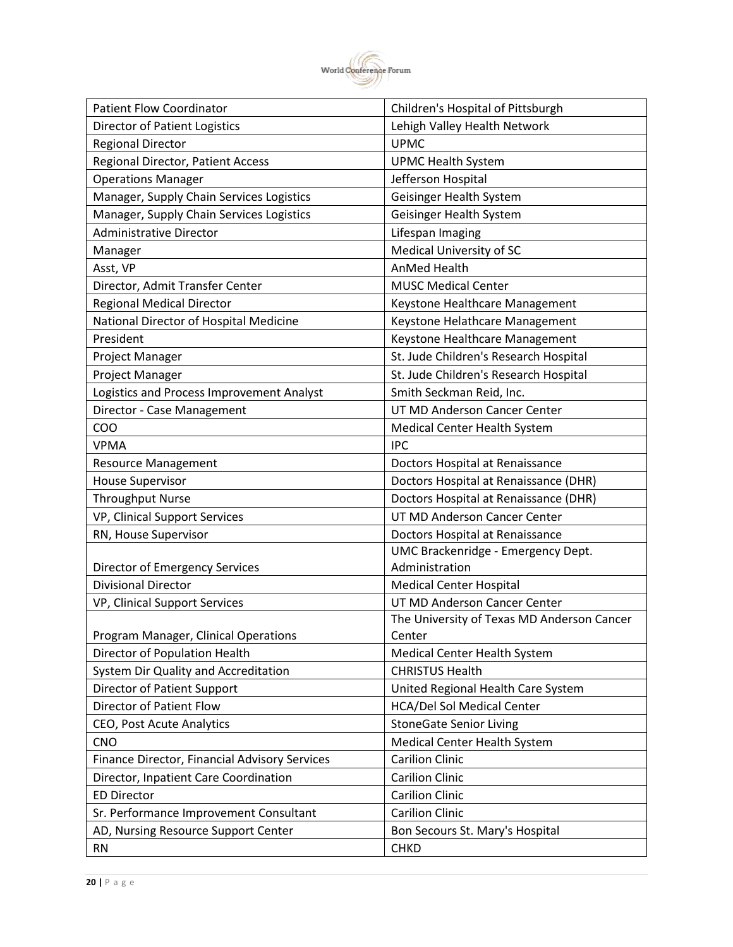

| <b>Patient Flow Coordinator</b>               | Children's Hospital of Pittsburgh          |
|-----------------------------------------------|--------------------------------------------|
| <b>Director of Patient Logistics</b>          | Lehigh Valley Health Network               |
| <b>Regional Director</b>                      | <b>UPMC</b>                                |
| Regional Director, Patient Access             | <b>UPMC Health System</b>                  |
| <b>Operations Manager</b>                     | Jefferson Hospital                         |
| Manager, Supply Chain Services Logistics      | Geisinger Health System                    |
| Manager, Supply Chain Services Logistics      | Geisinger Health System                    |
| <b>Administrative Director</b>                | Lifespan Imaging                           |
| Manager                                       | <b>Medical University of SC</b>            |
| Asst, VP                                      | AnMed Health                               |
| Director, Admit Transfer Center               | <b>MUSC Medical Center</b>                 |
| <b>Regional Medical Director</b>              | Keystone Healthcare Management             |
| National Director of Hospital Medicine        | Keystone Helathcare Management             |
| President                                     | Keystone Healthcare Management             |
| Project Manager                               | St. Jude Children's Research Hospital      |
| Project Manager                               | St. Jude Children's Research Hospital      |
| Logistics and Process Improvement Analyst     | Smith Seckman Reid, Inc.                   |
| Director - Case Management                    | UT MD Anderson Cancer Center               |
| COO                                           | Medical Center Health System               |
| <b>VPMA</b>                                   | <b>IPC</b>                                 |
| <b>Resource Management</b>                    | Doctors Hospital at Renaissance            |
| <b>House Supervisor</b>                       | Doctors Hospital at Renaissance (DHR)      |
| <b>Throughput Nurse</b>                       | Doctors Hospital at Renaissance (DHR)      |
| VP, Clinical Support Services                 | UT MD Anderson Cancer Center               |
| RN, House Supervisor                          | Doctors Hospital at Renaissance            |
|                                               | UMC Brackenridge - Emergency Dept.         |
| Director of Emergency Services                | Administration                             |
| <b>Divisional Director</b>                    | <b>Medical Center Hospital</b>             |
| VP, Clinical Support Services                 | UT MD Anderson Cancer Center               |
|                                               | The University of Texas MD Anderson Cancer |
| Program Manager, Clinical Operations          | Center                                     |
| Director of Population Health                 | Medical Center Health System               |
| System Dir Quality and Accreditation          | <b>CHRISTUS Health</b>                     |
| Director of Patient Support                   | United Regional Health Care System         |
| Director of Patient Flow                      | HCA/Del Sol Medical Center                 |
| CEO, Post Acute Analytics                     | <b>StoneGate Senior Living</b>             |
| <b>CNO</b>                                    | Medical Center Health System               |
| Finance Director, Financial Advisory Services | <b>Carilion Clinic</b>                     |
| Director, Inpatient Care Coordination         | <b>Carilion Clinic</b>                     |
| <b>ED Director</b>                            | <b>Carilion Clinic</b>                     |
| Sr. Performance Improvement Consultant        | <b>Carilion Clinic</b>                     |
| AD, Nursing Resource Support Center           | Bon Secours St. Mary's Hospital            |
| <b>RN</b>                                     | <b>CHKD</b>                                |